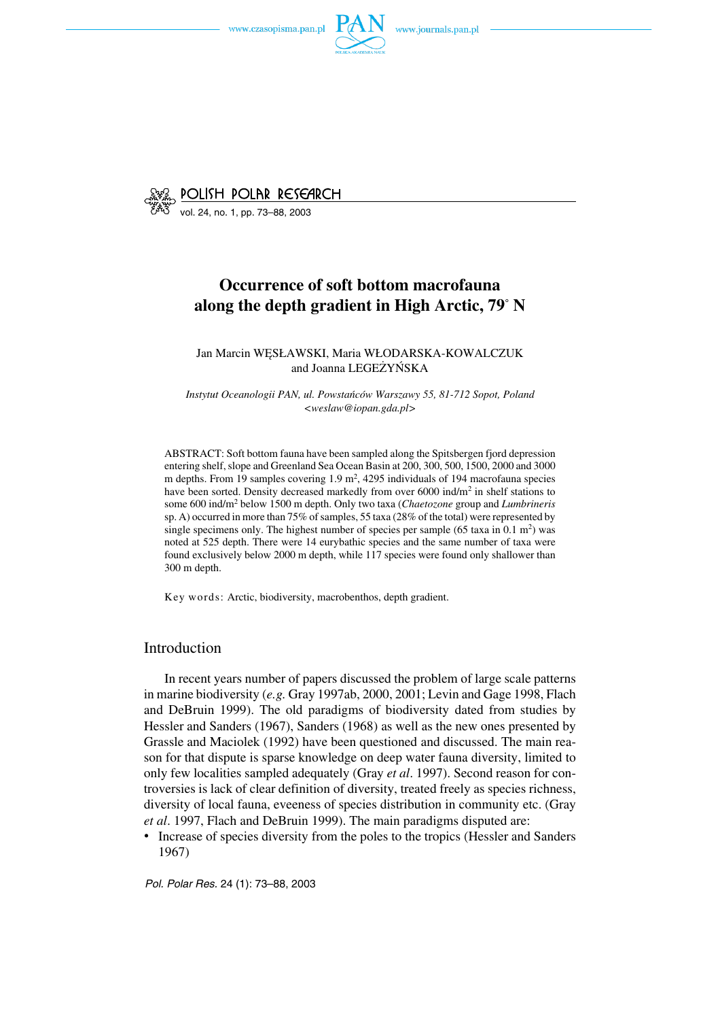

vol. 24, no. 1, pp. 73–88, 2003

# **Occurrence of soft bottom macrofauna along the depth gradient in High Arctic, 79° N**

#### Jan Marcin WĘSŁAWSKI, Maria WŁODARSKA−KOWALCZUK and Joanna LEGEŻYŃSKA

*Instytut Oceanologii PAN, ul. Powstańców Warszawy 55, 81−712 Sopot, Poland <weslaw@iopan.gda.pl>*

ABSTRACT: Soft bottom fauna have been sampled along the Spitsbergen fjord depression entering shelf, slope and Greenland Sea Ocean Basin at 200, 300, 500, 1500, 2000 and 3000 m depths. From 19 samples covering  $1.9 \text{ m}^2$ , 4295 individuals of 194 macrofauna species have been sorted. Density decreased markedly from over  $6000$  ind/m<sup>2</sup> in shelf stations to some 600 ind/m2 below 1500 m depth. Only two taxa (*Chaetozone* group and *Lumbrineris* sp. A) occurred in more than 75% of samples, 55 taxa (28% of the total) were represented by single specimens only. The highest number of species per sample (65 taxa in 0.1 m<sup>2</sup>) was noted at 525 depth. There were 14 eurybathic species and the same number of taxa were found exclusively below 2000 m depth, while 117 species were found only shallower than 300 m depth.

Key words: Arctic, biodiversity, macrobenthos, depth gradient.

# Introduction

In recent years number of papers discussed the problem of large scale patterns in marine biodiversity (*e.g.* Gray 1997ab, 2000, 2001; Levin and Gage 1998, Flach and DeBruin 1999). The old paradigms of biodiversity dated from studies by Hessler and Sanders (1967), Sanders (1968) as well as the new ones presented by Grassle and Maciolek (1992) have been questioned and discussed. The main rea− son for that dispute is sparse knowledge on deep water fauna diversity, limited to only few localities sampled adequately (Gray *et al*. 1997). Second reason for con− troversies is lack of clear definition of diversity, treated freely as species richness, diversity of local fauna, eveeness of species distribution in community etc. (Gray *et al*. 1997, Flach and DeBruin 1999). The main paradigms disputed are:

• Increase of species diversity from the poles to the tropics (Hessler and Sanders 1967)

*Pol. Polar Res.* 24 (1): 73–88, 2003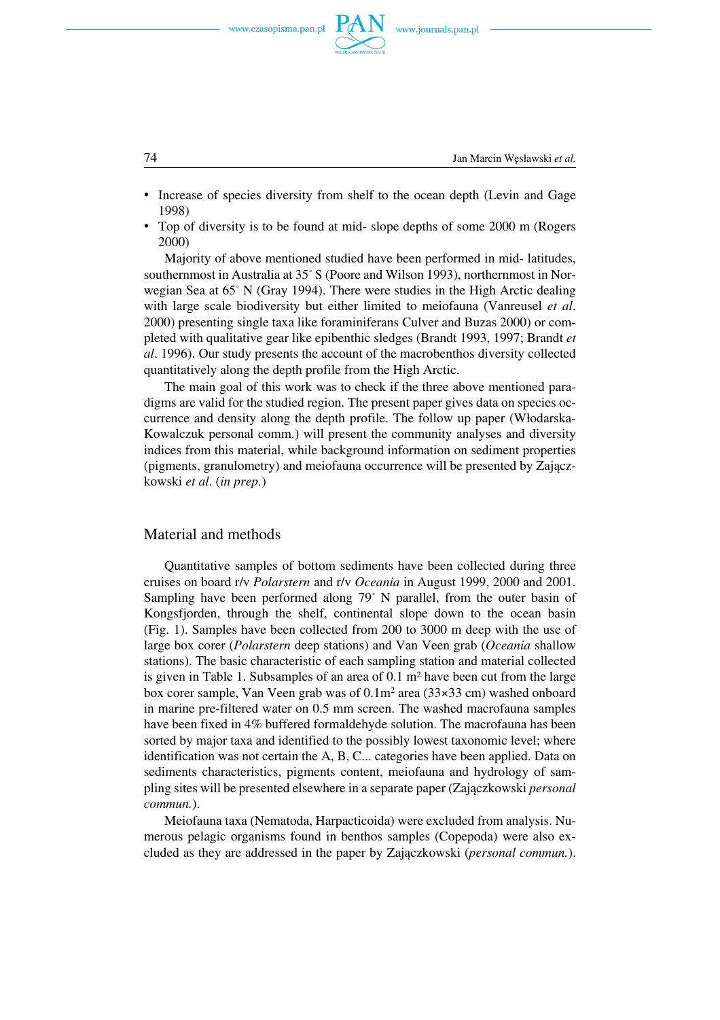

74 Jan Marcin Węsławski *et al.*

- Increase of species diversity from shelf to the ocean depth (Levin and Gage 1998)
- Top of diversity is to be found at mid− slope depths of some 2000 m (Rogers 2000)

Majority of above mentioned studied have been performed in mid− latitudes, southernmost in Australia at 35° S (Poore and Wilson 1993), northernmost in Nor− wegian Sea at 65° N (Gray 1994). There were studies in the High Arctic dealing with large scale biodiversity but either limited to meiofauna (Vanreusel *et al*. 2000) presenting single taxa like foraminiferans Culver and Buzas 2000) or com− pleted with qualitative gear like epibenthic sledges (Brandt 1993, 1997; Brandt *et al*. 1996). Our study presents the account of the macrobenthos diversity collected quantitatively along the depth profile from the High Arctic.

The main goal of this work was to check if the three above mentioned paradigms are valid for the studied region. The present paper gives data on species oc− currence and density along the depth profile. The follow up paper (Włodarska− Kowalczuk personal comm.) will present the community analyses and diversity indices from this material, while background information on sediment properties (pigments, granulometry) and meiofauna occurrence will be presented by Zającz− kowski *et al*. (*in prep.*)

# Material and methods

Quantitative samples of bottom sediments have been collected during three cruises on board r/v *Polarstern* and r/v *Oceania* in August 1999, 2000 and 2001. Sampling have been performed along 79° N parallel, from the outer basin of Kongsfjorden, through the shelf, continental slope down to the ocean basin (Fig. 1). Samples have been collected from 200 to 3000 m deep with the use of large box corer (*Polarstern* deep stations) and Van Veen grab (*Oceania* shallow stations). The basic characteristic of each sampling station and material collected is given in Table 1. Subsamples of an area of  $0.1 \text{ m}^2$  have been cut from the large box corer sample, Van Veen grab was of  $0.1\,\mathrm{m}^2$  area (33×33 cm) washed onboard in marine pre−filtered water on 0.5 mm screen. The washed macrofauna samples have been fixed in 4% buffered formaldehyde solution. The macrofauna has been sorted by major taxa and identified to the possibly lowest taxonomic level; where identification was not certain the A, B, C... categories have been applied. Data on sediments characteristics, pigments content, meiofauna and hydrology of sampling sites will be presented elsewhere in a separate paper (Zajączkowski *personal commun.*).

Meiofauna taxa (Nematoda, Harpacticoida) were excluded from analysis. Nu− merous pelagic organisms found in benthos samples (Copepoda) were also ex− cluded as they are addressed in the paper by Zajączkowski (*personal commun.*).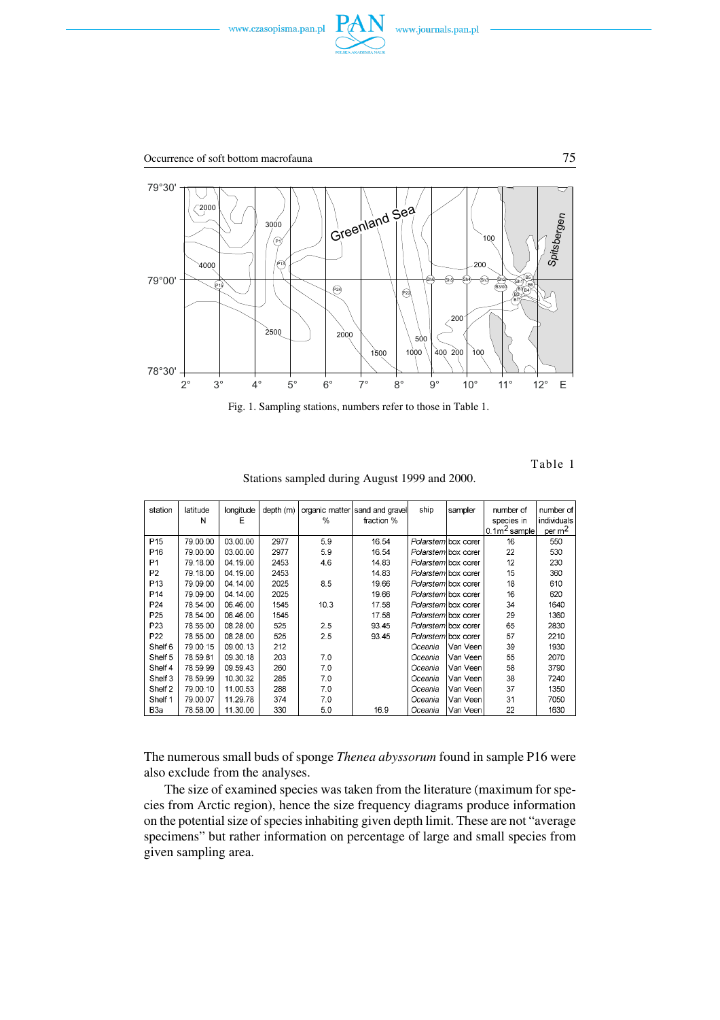



Fig. 1. Sampling stations, numbers refer to those in Table 1.

Table 1

Stations sampled during August 1999 and 2000.

| station         | latitude | longitude | depth (m) |               | organic matter sand and gravel | ship                 | sampler              | number of                  | number of          |
|-----------------|----------|-----------|-----------|---------------|--------------------------------|----------------------|----------------------|----------------------------|--------------------|
|                 | N        | Е         |           | $\frac{0}{0}$ | fraction %                     |                      |                      | species in                 | individuals        |
|                 |          |           |           |               |                                |                      |                      | $0.1$ m $^2$ sample $\mid$ | per m <sup>2</sup> |
| P <sub>15</sub> | 79.00.00 | 03.00.00  | 2977      | 5.9           | 16.54                          |                      | Polarstern box corer | 16                         | 550                |
| P <sub>16</sub> | 79.00.00 | 03.00.00  | 2977      | 5.9           | 16.54                          | Polarstern box corer |                      | 22                         | 530                |
| P <sub>1</sub>  | 79.18.00 | 04.19.00  | 2453      | 4.6           | 14.83                          |                      | Polarstern box corer | 12                         | 230                |
| P <sub>2</sub>  | 79.18.00 | 04.19.00  | 2453      |               | 14.83                          |                      | Polarstern box corer | 15                         | 360                |
| P <sub>13</sub> | 79.09.00 | 04.14.00  | 2025      | 8.5           | 19.66                          |                      | Polarstern box corer | 18                         | 610                |
| P <sub>14</sub> | 79.09.00 | 04.14.00  | 2025      |               | 19.66                          |                      | Polarstem box corer  | 16                         | 620                |
| P <sub>24</sub> | 78.54.00 | 06.46.00  | 1545      | 10.3          | 17.58                          |                      | Polarstem box corer  | 34                         | 1640               |
| P <sub>25</sub> | 78.54.00 | 06.46.00  | 1545      |               | 17.58                          |                      | Polarstern box corer | 29                         | 1360               |
| P <sub>23</sub> | 78.55.00 | 08.28.00  | 525       | 2.5           | 93.45                          |                      | Polarstern box corer | 65                         | 2830               |
| P <sub>22</sub> | 78.55.00 | 08.28.00  | 525       | 2.5           | 93.45                          |                      | Polarstem box corer  | 57                         | 2210               |
| Shelf 6         | 79.00.15 | 09.00.13  | 212       |               |                                | Oceania              | Van Veenl            | 39                         | 1930               |
| Shelf 5         | 78.59.81 | 09.30.18  | 203       | 7.0           |                                | Oceania              | Van Veen             | 55                         | 2070               |
| Shelf 4         | 78.59.99 | 09.59.43  | 260       | 7.0           |                                | Oceania              | Van Veen             | 58                         | 3790               |
| Shelf 3         | 78.59.99 | 10.30.32  | 285       | 7.0           |                                | Oceania              | Van Veen             | 38                         | 7240               |
| Shelf 2         | 79.00.10 | 11.00.53  | 288       | 7.0           |                                | Oceania              | Van Veenl            | 37                         | 1350               |
| Shelf 1         | 79.00.07 | 11.29.78  | 374       | 7.0           |                                | Oceania              | Van Veenl            | 31                         | 7050               |
| ВЗа             | 78.58.00 | 11.30.00  | 330       | 5,0           | 16.9                           | Oceania              | Van Veen             | 22                         | 1630               |

The numerous small buds of sponge *Thenea abyssorum* found in sample P16 were also exclude from the analyses.

The size of examined species was taken from the literature (maximum for spe− cies from Arctic region), hence the size frequency diagrams produce information on the potential size of species inhabiting given depth limit. These are not "average specimens" but rather information on percentage of large and small species from given sampling area.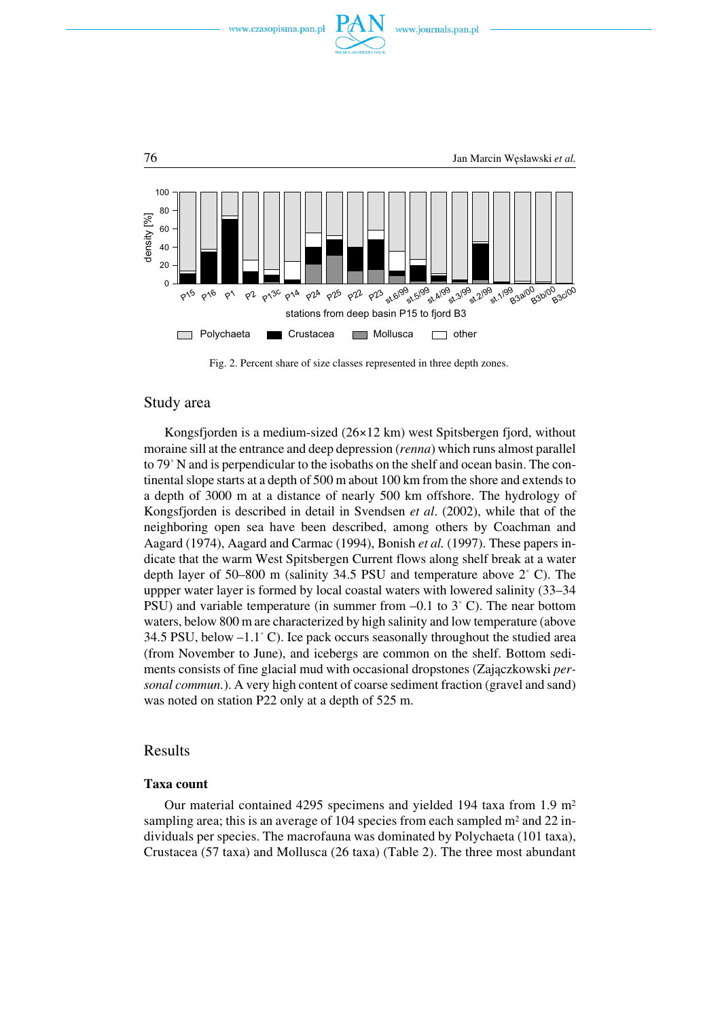



Fig. 2. Percent share of size classes represented in three depth zones.

# Study area

Kongsfjorden is a medium−sized (26×12 km) west Spitsbergen fjord, without moraine sill at the entrance and deep depression (*renna*) which runs almost parallel to 79° N and is perpendicular to the isobaths on the shelf and ocean basin. The con− tinental slope starts at a depth of 500 m about 100 km from the shore and extends to a depth of 3000 m at a distance of nearly 500 km offshore. The hydrology of Kongsfjorden is described in detail in Svendsen *et al*. (2002), while that of the neighboring open sea have been described, among others by Coachman and Aagard (1974), Aagard and Carmac (1994), Bonish *et al.* (1997). These papers in− dicate that the warm West Spitsbergen Current flows along shelf break at a water depth layer of 50–800 m (salinity 34.5 PSU and temperature above  $2^{\circ}$  C). The uppper water layer is formed by local coastal waters with lowered salinity (33–34 PSU) and variable temperature (in summer from  $-0.1$  to  $3^{\circ}$  C). The near bottom waters, below 800 m are characterized by high salinity and low temperature (above 34.5 PSU, below  $-1.1^{\circ}$  C). Ice pack occurs seasonally throughout the studied area (from November to June), and icebergs are common on the shelf. Bottom sedi− ments consists of fine glacial mud with occasional dropstones (Zajączkowski *per− sonal commun.*). A very high content of coarse sediment fraction (gravel and sand) was noted on station P22 only at a depth of 525 m.

# Results

#### **Taxa count**

Our material contained 4295 specimens and yielded 194 taxa from 1.9 m2 sampling area; this is an average of 104 species from each sampled m<sup>2</sup> and 22 individuals per species. The macrofauna was dominated by Polychaeta (101 taxa), Crustacea (57 taxa) and Mollusca (26 taxa) (Table 2). The three most abundant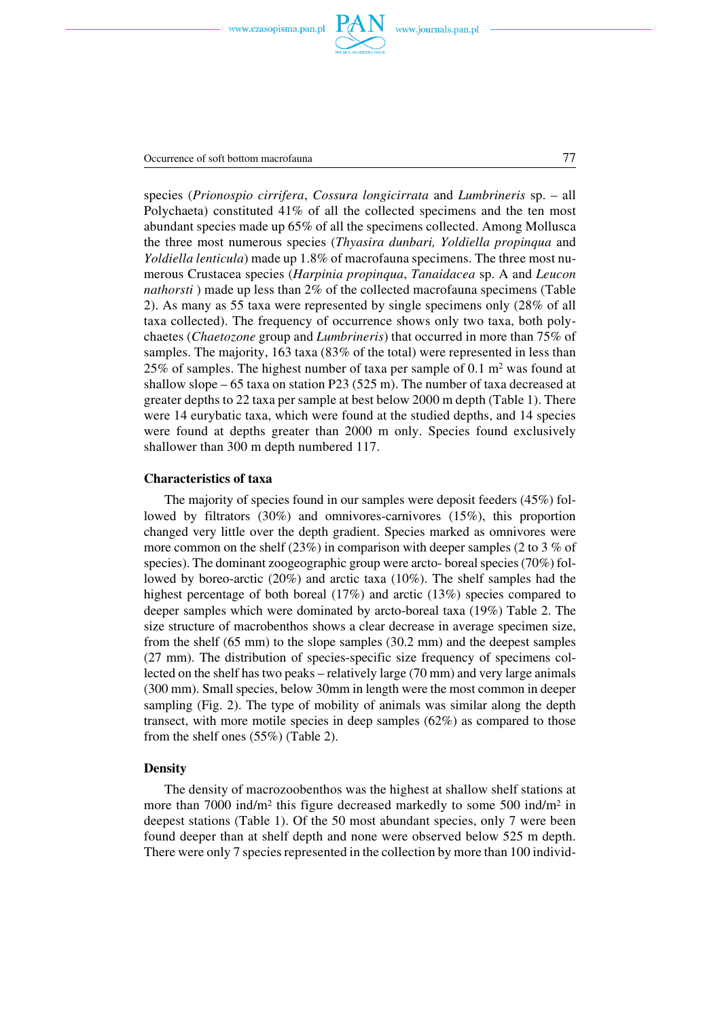

Occurrence of soft bottom macrofauna 77

species (*Prionospio cirrifera*, *Cossura longicirrata* and *Lumbrineris* sp. – all Polychaeta) constituted 41% of all the collected specimens and the ten most abundant species made up 65% of all the specimens collected. Among Mollusca the three most numerous species (*Thyasira dunbari, Yoldiella propinqua* and *Yoldiella lenticula*) made up 1.8% of macrofauna specimens. The three most nu− merous Crustacea species (*Harpinia propinqua*, *Tanaidacea* sp. A and *Leucon nathorsti* ) made up less than 2% of the collected macrofauna specimens (Table 2). As many as 55 taxa were represented by single specimens only (28% of all taxa collected). The frequency of occurrence shows only two taxa, both poly− chaetes (*Chaetozone* group and *Lumbrineris*) that occurred in more than 75% of samples. The majority, 163 taxa (83% of the total) were represented in less than 25% of samples. The highest number of taxa per sample of 0.1 m2 was found at shallow slope  $-65$  taxa on station P23 (525 m). The number of taxa decreased at greater depths to 22 taxa per sample at best below 2000 m depth (Table 1). There were 14 eurybatic taxa, which were found at the studied depths, and 14 species were found at depths greater than 2000 m only. Species found exclusively shallower than 300 m depth numbered 117.

#### **Characteristics of taxa**

The majority of species found in our samples were deposit feeders (45%) fol− lowed by filtrators (30%) and omnivores−carnivores (15%), this proportion changed very little over the depth gradient. Species marked as omnivores were more common on the shelf (23%) in comparison with deeper samples (2 to 3 % of species). The dominant zoogeographic group were arcto- boreal species (70%) followed by boreo−arctic (20%) and arctic taxa (10%). The shelf samples had the highest percentage of both boreal (17%) and arctic (13%) species compared to deeper samples which were dominated by arcto−boreal taxa (19%) Table 2. The size structure of macrobenthos shows a clear decrease in average specimen size, from the shelf (65 mm) to the slope samples (30.2 mm) and the deepest samples (27 mm). The distribution of species−specific size frequency of specimens col− lected on the shelf has two peaks – relatively large (70 mm) and very large animals (300 mm). Small species, below 30mm in length were the most common in deeper sampling (Fig. 2). The type of mobility of animals was similar along the depth transect, with more motile species in deep samples (62%) as compared to those from the shelf ones (55%) (Table 2).

### **Density**

The density of macrozoobenthos was the highest at shallow shelf stations at more than 7000 ind/m<sup>2</sup> this figure decreased markedly to some 500 ind/m<sup>2</sup> in deepest stations (Table 1). Of the 50 most abundant species, only 7 were been found deeper than at shelf depth and none were observed below 525 m depth. There were only 7 species represented in the collection by more than 100 individ-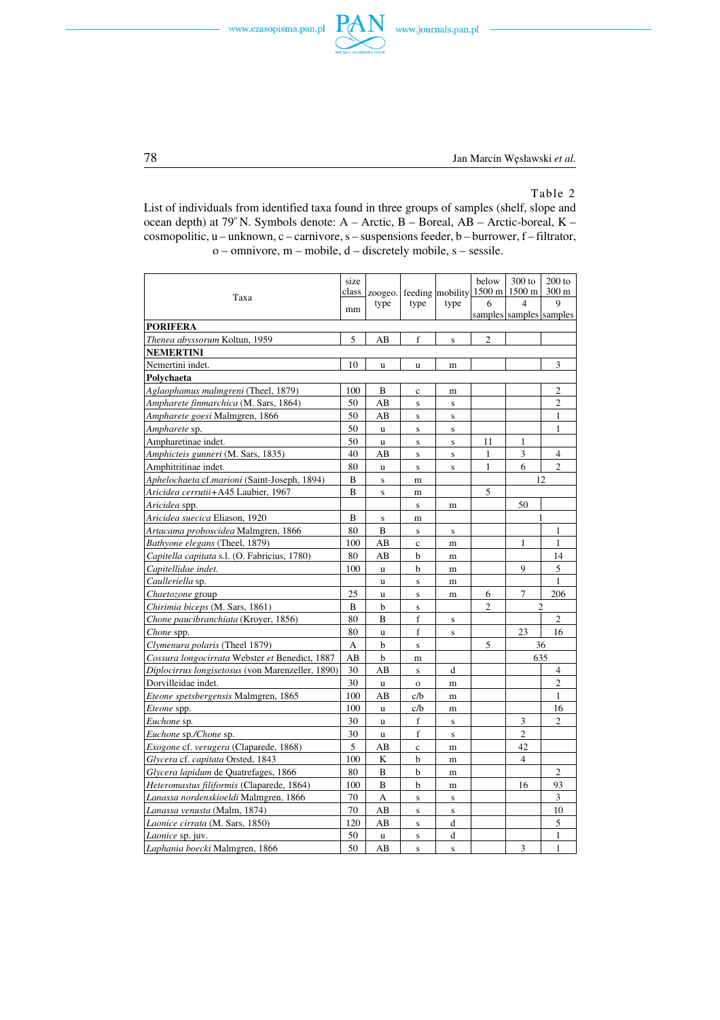



#### Table 2

List of individuals from identified taxa found in three groups of samples (shelf, slope and ocean depth) at 79° N. Symbols denote: A – Arctic, B – Boreal, AB – Arctic-boreal, K – cosmopolitic, u – unknown, c – carnivore, s – suspensions feeder, b – burrower, f – filtrator, o – omnivore, m – mobile, d – discretely mobile, s – sessile.

| size<br>class<br>Taxa                             |     | zoogeo.      |              | feeding mobility | below<br>$1500 \text{ m}$ | $300$ to<br>1500 m          | $200$ to<br>300 m |
|---------------------------------------------------|-----|--------------|--------------|------------------|---------------------------|-----------------------------|-------------------|
|                                                   | mm  | type         | type         | type             | 6                         | 4                           | $\mathbf Q$       |
|                                                   |     |              |              |                  |                           | samples   samples   samples |                   |
| <b>PORIFERA</b>                                   | 5   | AB           | f            |                  | $\overline{c}$            |                             |                   |
| Thenea abyssorum Koltun, 1959<br><b>NEMERTINI</b> |     |              |              | S                |                           |                             |                   |
| Nemertini indet.                                  | 10  | $\mathbf{u}$ | $\mathbf u$  | m                |                           |                             | 3                 |
| Polychaeta                                        |     |              |              |                  |                           |                             |                   |
| Aglaophamus malmgreni (Theel, 1879)               | 100 | B            | $\mathbf c$  | m                |                           |                             | $\overline{2}$    |
| Ampharete finmarchica (M. Sars, 1864)             | 50  | AB           | $\bf S$      | S                |                           |                             | $\overline{c}$    |
| Ampharete goesi Malmgren, 1866                    | 50  | AВ           | $\mathbf S$  | $\mathbf{s}$     |                           |                             | 1                 |
| Ampharete sp.                                     | 50  | $\mathbf u$  | $\mathbf S$  | $\mathbf S$      |                           |                             | 1                 |
| Ampharetinae indet.                               | 50  | $\mathbf u$  | $\bf S$      | $\bf S$          | 11                        | 1                           |                   |
| Amphicteis gunneri (M. Sars, 1835)                | 40  | AB           | $\mathbf{s}$ | $\mathbf{s}$     | $\mathbf{1}$              | 3                           | $\overline{4}$    |
| Amphitritinae indet.                              | 80  | $\mathbf u$  | $\mathbf{s}$ | $\mathbf{s}$     | $\mathbf{1}$              | 6                           | $\overline{2}$    |
| Aphelochaeta cf.marioni (Saint-Joseph, 1894)      | B   | $\mathbf S$  | m            |                  |                           |                             | 12                |
| Aricidea cerrutii+A45 Laubier, 1967               | B   | ${\bf S}$    | m            |                  | 5                         |                             |                   |
| Aricidea spp.                                     |     |              | $\mathbf S$  | m                |                           | 50                          |                   |
| Aricidea suecica Eliason, 1920                    | B   | $\mathbf S$  | m            |                  |                           |                             | 1                 |
| Artacama proboscidea Malmgren, 1866               | 80  | B            | $\bf S$      | ${\bf S}$        |                           |                             | $\mathbf{1}$      |
| Bathyone elegans (Theel, 1879)                    | 100 | AВ           | $\mathbf c$  | m                |                           | 1                           | $\mathbf{1}$      |
| Capitella capitata s.l. (O. Fabricius, 1780)      | 80  | AВ           | b            | m                |                           |                             | 14                |
| Capitellidae indet.                               | 100 | $\mathbf u$  | b            | m                |                           | $\mathbf Q$                 | 5                 |
| Caulleriella sp.                                  |     | $\mathbf u$  | $\mathbf{s}$ | m                |                           |                             | 1                 |
| Chaetozone group                                  | 25  | $\mathbf{u}$ | S            | m                | 6                         | 7                           | 206               |
| Chirimia biceps (M. Sars, 1861)                   | B   | b            | $\mathbf{s}$ |                  | $\overline{c}$            | $\mathfrak{D}$              |                   |
| Chone paucibranchiata (Kroyer, 1856)              | 80  | B            | f            | $\mathbf S$      |                           |                             | $\overline{c}$    |
| Chone spp.                                        | 80  | $\mathbf u$  | f            | ${\bf S}$        |                           | 23                          | 16                |
| Clymenura polaris (Theel 1879)                    | А   | $\mathbf b$  | $\mathbf S$  |                  | 5                         |                             | 36                |
| Cossura longocirrata Webster et Benedict, 1887    | AВ  | b            | m            |                  |                           |                             | 635               |
| Diplocirrus longisetosus (von Marenzeller, 1890)  | 30  | АB           | ${\bf S}$    | d                |                           |                             | $\overline{4}$    |
| Dorvilleidae indet.                               | 30  | u            | $\mathbf{o}$ | m                |                           |                             | $\mathfrak{2}$    |
| Eteone spetsbergensis Malmgren, 1865              | 100 | AB           | c/b          | m                |                           |                             | $\mathbf{1}$      |
| <i>Eteone</i> spp.                                | 100 | $\mathbf u$  | c/b          | m                |                           |                             | 16                |
| Euchone sp.                                       | 30  | $\mathbf u$  | $\mathbf f$  | $\bf S$          |                           | 3                           | $\overline{c}$    |
| Euchone sp./Chone sp.                             | 30  | u            | f            | S                |                           | $\overline{c}$              |                   |
| Exogone cf. verugera (Claparede, 1868)            | 5   | AВ           | $\mathbf c$  | m                |                           | 42                          |                   |
| Glycera cf. capitata Orsted, 1843                 | 100 | K            | b            | m                |                           | $\overline{4}$              |                   |
| Glycera lapidum de Quatrefages, 1866              | 80  | B            | b            | m                |                           |                             | $\overline{c}$    |
| Heteromastus filiformis (Claparede, 1864)         | 100 | B            | b            | m                |                           | 16                          | 93                |
| Lanassa nordenskioeldi Malmgren, 1866             | 70  | A            | $\mathbf S$  | $\mathbf S$      |                           |                             | 3                 |
| Lanassa venusta (Malm, 1874)                      | 70  | AB           | $\mathbf S$  | $\mathbf S$      |                           |                             | 10                |
| Laonice cirrata (M. Sars, 1850)                   | 120 | AB           | $\bf S$      | d                |                           |                             | 5                 |
| Laonice sp. juv.                                  | 50  | $\mathbf u$  | $\mathbf S$  | d                |                           |                             | $\mathbf{1}$      |
| Laphania boecki Malmgren, 1866                    | 50  | AB           | $\mathbf S$  | $\mathbf S$      |                           | 3                           | 1                 |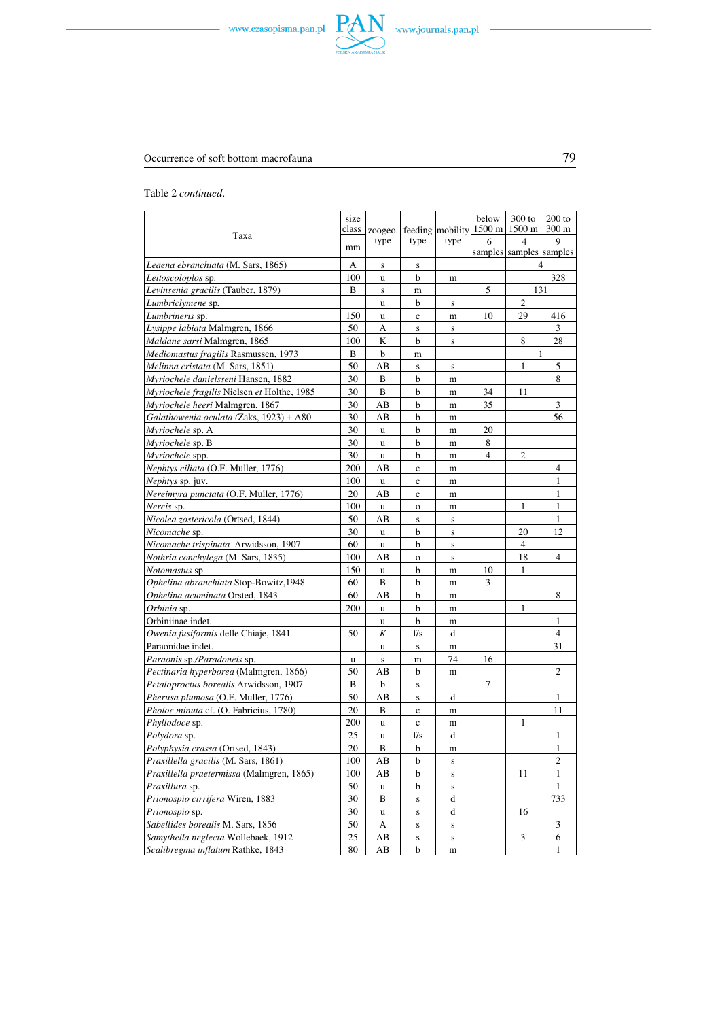



Table 2 *continued*.

| Taxa                                        | size<br>class | zoogeo.      |             | feeding mobility | below          | $300$ to<br>$1500 \text{ m}$ 1500 m | $200$ to<br>$300 \text{ m}$ |
|---------------------------------------------|---------------|--------------|-------------|------------------|----------------|-------------------------------------|-----------------------------|
|                                             | mm            | type         | type        | type             | 6              | 4<br>samples samples samples        | 9                           |
| Leaena ebranchiata (M. Sars, 1865)          | А             | ${\bf S}$    | ${\bf S}$   |                  |                | 4                                   |                             |
| Leitoscoloplos sp.                          | 100           | u            | b           | m                |                |                                     | 328                         |
| Levinsenia gracilis (Tauber, 1879)          | B             | $\bf S$      | $\mathbf m$ |                  | 5              | 131                                 |                             |
| Lumbriclymene sp.                           |               | u            | b           | ${\bf S}$        |                | $\overline{c}$                      |                             |
| Lumbrineris sp.                             | 150           | u            | $\mathbf c$ | m                | 10             | 29                                  | 416                         |
| Lysippe labiata Malmgren, 1866              | 50            | А            | ${\bf S}$   | ${\bf S}$        |                |                                     | 3                           |
| Maldane sarsi Malmgren, 1865                | 100           | K            | b           | ${\bf S}$        |                | 8                                   | 28                          |
| Mediomastus fragilis Rasmussen, 1973        | B             | b            | m           |                  |                | 1                                   |                             |
| Melinna cristata (M. Sars, 1851)            | 50            | AB           | ${\bf S}$   | ${\bf S}$        |                | $\mathbf{1}$                        | 5                           |
| Myriochele danielsseni Hansen, 1882         | 30            | B            | b           | m                |                |                                     | 8                           |
| Myriochele fragilis Nielsen et Holthe, 1985 | 30            | B            | b           | m                | 34             | 11                                  |                             |
| Myriochele heeri Malmgren, 1867             | 30            | AB           | b           | m                | 35             |                                     | 3                           |
| Galathowenia oculata (Zaks, 1923) + A80     | 30            | AВ           | b           | m                |                |                                     | 56                          |
| Myriochele sp. A                            | 30            | u            | b           | m                | 20             |                                     |                             |
|                                             | 30            |              | b           |                  | 8              |                                     |                             |
| Myriochele sp. B                            |               | u            |             | m                | $\overline{4}$ | $\overline{2}$                      |                             |
| <i>Myriochele</i> spp.                      | 30            | u            | b           | m                |                |                                     |                             |
| Nephtys ciliata (O.F. Muller, 1776)         | 200           | AB           | $\mathbf c$ | $\, {\rm m}$     |                |                                     | $\overline{4}$              |
| <i>Nephtys</i> sp. juv.                     | 100           | u            | $\mathbf c$ | m                |                |                                     | 1                           |
| Nereimyra punctata (O.F. Muller, 1776)      | 20            | AВ           | $\mathbf c$ | m                |                |                                     | $\mathbf{1}$                |
| Nereis sp.                                  | 100           | u            | $\mathbf 0$ | m                |                | $\mathbf{1}$                        | $\mathbf{1}$                |
| Nicolea zostericola (Ortsed, 1844)          | 50            | AB           | ${\bf S}$   | ${\bf S}$        |                |                                     | $\mathbf{1}$                |
| Nicomache sp.                               | 30            | u            | b           | ${\bf S}$        |                | 20                                  | 12                          |
| Nicomache trispinata Arwidsson, 1907        | 60            | u            | b           | ${\bf S}$        |                | $\overline{4}$                      |                             |
| Nothria conchylega (M. Sars, 1835)          | 100           | АB           | $\mathbf 0$ | ${\bf S}$        |                | 18                                  | $\overline{4}$              |
| Notomastus sp.                              | 150           | u            | b           | m                | 10             | $\mathbf{1}$                        |                             |
| Ophelina abranchiata Stop-Bowitz, 1948      | 60            | B            | b           | m                | 3              |                                     |                             |
| Ophelina acuminata Orsted, 1843             | 60            | AВ           | b           | m                |                |                                     | 8                           |
| Orbinia sp.                                 | 200           | u            | b           | m                |                | $\mathbf{1}$                        |                             |
| Orbiniinae indet.                           |               | u            | b           | m                |                |                                     | 1                           |
| Owenia fusiformis delle Chiaje, 1841        | 50            | K            | f/s         | d                |                |                                     | $\overline{4}$              |
| Paraonidae indet.                           |               | u            | ${\bf S}$   | m                |                |                                     | 31                          |
| Paraonis sp./Paradoneis sp.                 | u             | ${\bf S}$    | m           | 74               | 16             |                                     |                             |
| Pectinaria hyperborea (Malmgren, 1866)      | 50            | AВ           | b           | m                |                |                                     | $\sqrt{2}$                  |
| Petaloproctus borealis Arwidsson, 1907      | B             | b            | ${\bf S}$   |                  | $\overline{7}$ |                                     |                             |
| Pherusa plumosa (O.F. Muller, 1776)         | 50            | AВ           | ${\bf S}$   | d                |                |                                     | 1                           |
| Pholoe minuta cf. (O. Fabricius, 1780)      | 20            | B            | $\mathbf c$ | m                |                |                                     | 11                          |
| Phyllodoce sp.                              | 200           | u            | $\mathbf c$ | m                |                | $\mathbf{1}$                        |                             |
| Polydora sp.                                | 25            | u            | f/s         | d                |                |                                     | 1                           |
| Polyphysia crassa (Ortsed, 1843)            | 20            | В            | b           | m                |                |                                     | 1                           |
| Praxillella gracilis (M. Sars, 1861)        | 100           | AB           | b           | ${\bf S}$        |                |                                     | $\overline{2}$              |
| Praxillella praetermissa (Malmgren, 1865)   | 100           | AB           | $\mathbf b$ | ${\bf S}$        |                | 11                                  | $\mathbf{1}$                |
| Praxillura sp.                              | 50            | u            | b           | $\bf S$          |                |                                     | $\mathbf{1}$                |
| Prionospio cirrifera Wiren, 1883            | 30            | $\, {\bf B}$ | ${\bf S}$   | d                |                |                                     | 733                         |
| Prionospio sp.                              | 30            | u            | ${\bf S}$   | $\mathbf d$      |                | 16                                  |                             |
| Sabellides borealis M. Sars, 1856           | 50            | $\mathbf{A}$ | ${\bf S}$   | ${\bf S}$        |                |                                     | 3                           |
| Samythella neglecta Wollebaek, 1912         | 25            | AB           | ${\bf S}$   | $\bf S$          |                | $\mathfrak{Z}$                      | 6                           |
| Scalibregma inflatum Rathke, 1843           | 80            | AВ           | $\mathbf b$ | m                |                |                                     | 1                           |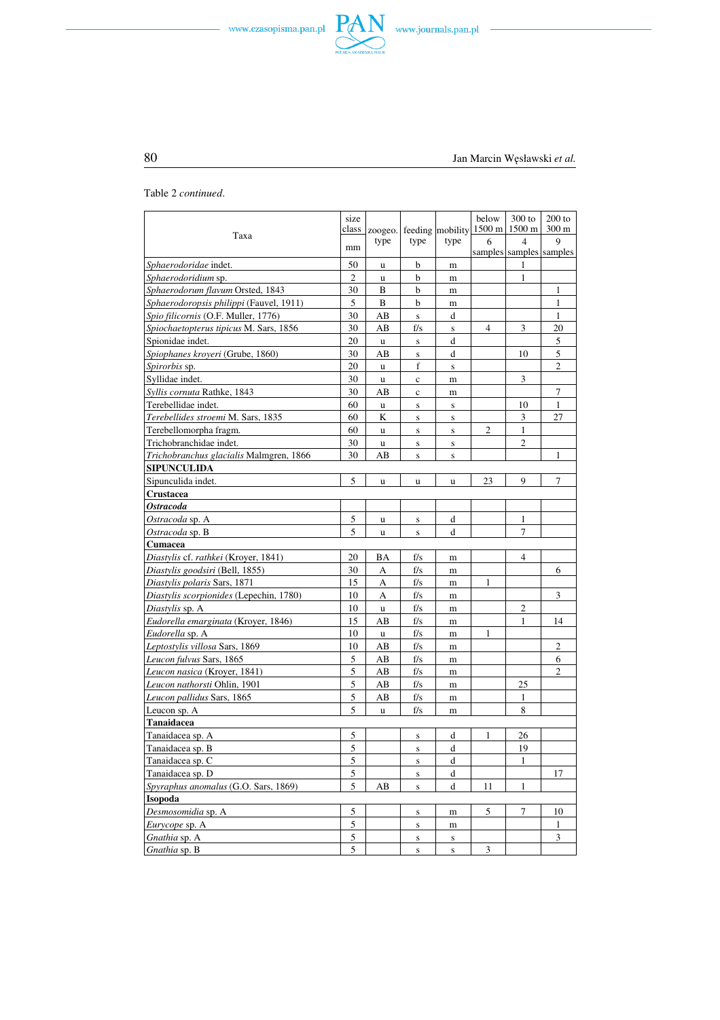

Table 2 *continued*.

|                                         | size           |              |              |                                                                                                  | below          | $300$ to                | $200$ to        |
|-----------------------------------------|----------------|--------------|--------------|--------------------------------------------------------------------------------------------------|----------------|-------------------------|-----------------|
|                                         | class          | zoogeo.      |              | feeding mobility                                                                                 | 1500 m         | 1500 m                  | $300 \text{ m}$ |
| Taxa                                    |                | type         | type         | type                                                                                             | 6              | $\overline{4}$          | 9               |
|                                         | mm             |              |              |                                                                                                  |                | samples samples samples |                 |
| Sphaerodoridae indet.                   | 50             | u            | b            | m                                                                                                |                | 1                       |                 |
| Sphaerodoridium sp.                     | $\overline{2}$ | u            | b            | m                                                                                                |                | $\mathbf{1}$            |                 |
| Sphaerodorum flavum Orsted, 1843        | 30             | B            | b            | m                                                                                                |                |                         | $\mathbf{1}$    |
| Sphaerodoropsis philippi (Fauvel, 1911) | 5              | B            | b            | m                                                                                                |                |                         | $\mathbf{1}$    |
| Spio filicornis (O.F. Muller, 1776)     | 30             | AB           | $\mathbf{s}$ | d                                                                                                |                |                         | $\mathbf{1}$    |
| Spiochaetopterus tipicus M. Sars, 1856  | 30             | AB           | f/s          | ${\bf S}$                                                                                        | 4              | 3                       | 20              |
| Spionidae indet.                        | 20             | u            | S            | d                                                                                                |                |                         | 5               |
| Spiophanes kroyeri (Grube, 1860)        | 30             | AВ           | $\bf S$      | d                                                                                                |                | 10                      | 5               |
| Spirorbis sp.                           | 20             | u            | f            | $\mathbf S$                                                                                      |                |                         | $\overline{c}$  |
| Syllidae indet.                         | 30             | u            | $\mathbf c$  | $\, {\rm m}$                                                                                     |                | 3                       |                 |
| Syllis cornuta Rathke, 1843             | 30             | AВ           | c            | m                                                                                                |                |                         | 7               |
| Terebellidae indet.                     | 60             | u            | S            | S                                                                                                |                | 10                      | $\mathbf{1}$    |
| Terebellides stroemi M. Sars, 1835      | 60             | K            | $\bf S$      | ${\bf S}$                                                                                        |                | 3                       | 27              |
| Terebellomorpha fragm.                  | 60             | u            | S            | ${\bf S}$                                                                                        | 2              | $\mathbf{1}$            |                 |
| Trichobranchidae indet.                 | 30             | u            | S            | ${\bf S}$                                                                                        |                | $\sqrt{2}$              |                 |
| Trichobranchus glacialis Malmgren, 1866 | 30             | AВ           | $\bf S$      | $\bf S$                                                                                          |                |                         | 1               |
| <b>SIPUNCULIDA</b>                      |                |              |              |                                                                                                  |                |                         |                 |
| Sipunculida indet.                      | 5              | u            | u            | $\mathbf u$                                                                                      | 23             | 9                       | 7               |
| Crustacea                               |                |              |              |                                                                                                  |                |                         |                 |
| <b>Ostracoda</b>                        |                |              |              |                                                                                                  |                |                         |                 |
| Ostracoda sp. A                         | 5              | u            | S            | $\mathrm{d}% \left\  \mathcal{H}\right\  _{A}$                                                   |                | $\mathbf{1}$            |                 |
| Ostracoda sp. B                         | 5              | u            | S            | d                                                                                                |                | $\tau$                  |                 |
| Cumacea                                 |                |              |              |                                                                                                  |                |                         |                 |
| Diastylis cf. rathkei (Kroyer, 1841)    | 20             | BA           | f/s          | m                                                                                                |                | 4                       |                 |
| Diastylis goodsiri (Bell, 1855)         | 30             | $\mathbf{A}$ | f/s          | $\, {\rm m}$                                                                                     |                |                         | 6               |
| Diastylis polaris Sars, 1871            | 15             | A            | f/s          | $\, {\rm m}$                                                                                     | $\mathbf{1}$   |                         |                 |
| Diastylis scorpionides (Lepechin, 1780) | 10             | А            | f/s          | m                                                                                                |                |                         | 3               |
| Diastylis sp. A                         | 10             | u            | f/s          | m                                                                                                |                | $\mathfrak{2}$          |                 |
| Eudorella emarginata (Kroyer, 1846)     | 15             | АB           | f/s          | $\, {\rm m}$                                                                                     |                | $\mathbf{1}$            | 14              |
| Eudorella sp. A                         | 10             | u            | f/s          |                                                                                                  | 1              |                         |                 |
| Leptostylis villosa Sars, 1869          | 10             | АB           | f/s          | $\, {\rm m}$                                                                                     |                |                         | 2               |
| Leucon fulvus Sars, 1865                | 5              | AВ           | f/s          | m                                                                                                |                |                         | 6               |
| Leucon nasica (Kroyer, 1841)            | 5              | AВ           | f/s          | m                                                                                                |                |                         | $\overline{c}$  |
| Leucon nathorsti Ohlin, 1901            | 5              | AВ           | f/s          | $\, {\rm m}$                                                                                     |                | 25                      |                 |
| Leucon pallidus Sars, 1865              | 5              | АB           | f/s          | m                                                                                                |                | 1                       |                 |
| Leucon sp. A                            | 5              |              | f/s          | m                                                                                                |                | 8                       |                 |
| <b>Tanaidacea</b>                       |                | u            |              | m                                                                                                |                |                         |                 |
| Tanaidacea sp. A                        | 5              |              |              | d                                                                                                | 1              | 26                      |                 |
|                                         | 5              |              | S            |                                                                                                  |                | 19                      |                 |
| Tanaidacea sp. B                        | $\overline{5}$ |              | $\bf S$      | d                                                                                                |                |                         |                 |
| Tanaidacea sp. C<br>Tanaidacea sp. D    | $\overline{5}$ |              | $\bf S$      | $\mathrm{d}% \left\  \mathcal{A}\right\  ^{2}$<br>$\mathrm{d}% \left\  \mathcal{A}\right\  ^{2}$ |                | $\mathbf{1}$            | 17              |
|                                         |                |              | $\mathbf{s}$ |                                                                                                  |                |                         |                 |
| Spyraphus anomalus (G.O. Sars, 1869)    | 5              | AB           | S            | $\mathbf d$                                                                                      | 11             | $\mathbf{1}$            |                 |
| Isopoda                                 | 5              |              |              |                                                                                                  |                |                         |                 |
| Desmosomidia sp. A                      |                |              | S            | m                                                                                                | 5              | 7                       | 10              |
| Eurycope sp. A                          | $\overline{5}$ |              | S            | m                                                                                                |                |                         | $\mathbf{1}$    |
| Gnathia sp. A                           | $\overline{5}$ |              | S            | $S_{-}$                                                                                          |                |                         | $\overline{3}$  |
| Gnathia sp. B                           | 5              |              | S            | ${\bf S}$                                                                                        | $\mathfrak{Z}$ |                         |                 |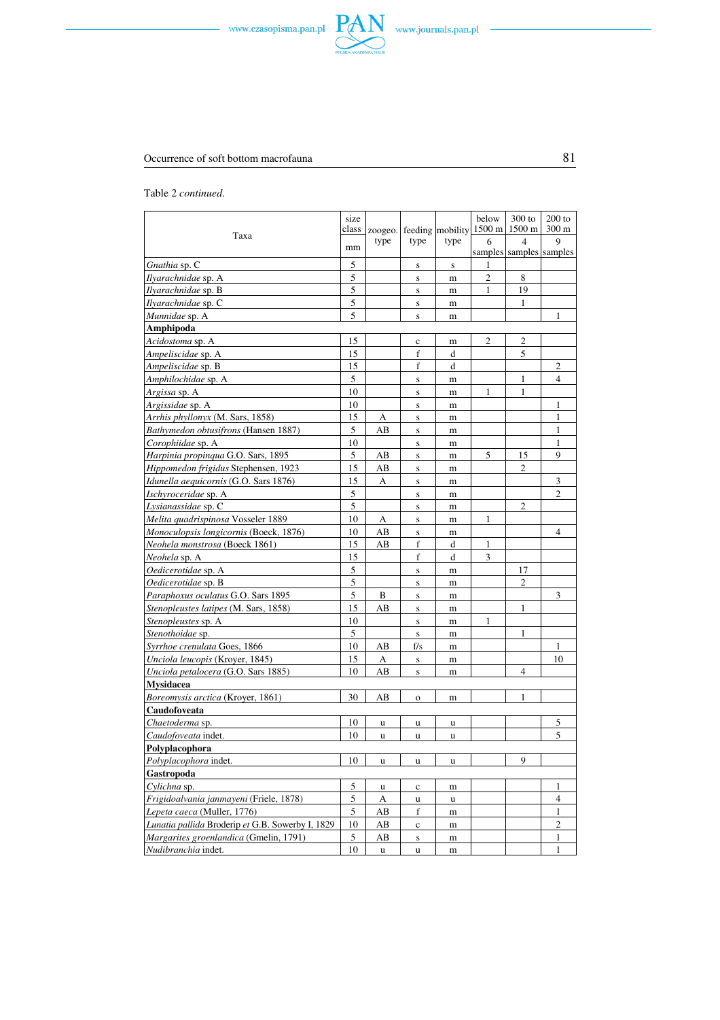



Table 2 *continued*.

| type<br>type<br>type<br>9<br>6<br>4<br>mm<br>samples samples samples<br>5<br>Gnathia sp. C<br>$\mathbf{1}$<br>${\bf S}$<br>S<br>5<br>$\overline{2}$<br>8<br>Ilyarachnidae sp. A<br>$\bf S$<br>m<br>5<br>$\mathbf{1}$<br>19<br>Ilyarachnidae sp. B<br>$\bf S$<br>m<br>5<br>$\mathbf{1}$<br>Ilyarachnidae sp. C<br>S<br>m<br>5<br>Munnidae sp. A<br>$\mathbf{1}$<br>$\bf S$<br>m<br>Amphipoda<br>15<br>Acidostoma sp. A<br>2<br>2<br>$\mathbf c$<br>m<br>$\mathbf f$<br>5<br>Ampeliscidae sp. A<br>15<br>d<br>15<br>$\mathbf f$<br>d<br>$\mathfrak{2}$<br>Ampeliscidae sp. B<br>5<br>Amphilochidae sp. A<br>1<br>$\overline{4}$<br>S<br>m<br>10<br>$\mathbf{1}$<br>Argissa sp. A<br>1<br>S<br>m<br>10<br>1<br>Argissidae sp. A<br>$\bf S$<br>m<br>Arrhis phyllonyx (M. Sars, 1858)<br>15<br>$\mathbf{1}$<br>А<br>S<br>m<br>5<br>Bathymedon obtusifrons (Hansen 1887)<br>AВ<br>1<br>$\bf S$<br>m<br>10<br>$\mathbf{1}$<br>Corophiidae sp. A<br>S<br>m<br>$\mathfrak s$<br>9<br>Harpinia propinqua G.O. Sars, 1895<br>AB<br>5<br>15<br>$\bf S$<br>m<br>$\overline{c}$<br>15<br>Hippomedon frigidus Stephensen, 1923<br>AB<br>S<br>m<br>3<br>Idunella aequicornis (G.O. Sars 1876)<br>15<br>A<br>S<br>m<br>$\mathfrak s$<br>$\overline{c}$<br>Ischyroceridae sp. A<br>S<br>m<br>$\mathfrak s$<br>$\mathfrak{2}$<br>Lysianassidae sp. C<br>$\bf S$<br>m<br>Melita quadrispinosa Vosseler 1889<br>10<br>A<br>$\mathbf{1}$<br>$\bf S$<br>m<br>10<br>Monoculopsis longicornis (Boeck, 1876)<br>AВ<br>$\overline{4}$<br>$\bf S$<br>m<br>$\mathbf f$<br>15<br>d<br>$\mathbf{1}$<br>Neohela monstrosa (Boeck 1861)<br>AВ<br>$\mathbf f$<br>$\mathfrak{Z}$<br>15<br>d<br>Neohela sp. A<br>$\mathfrak s$<br>17<br>Oedicerotidae sp. A<br>S<br>m<br>$\mathfrak s$<br>$\mathfrak{2}$<br>Oedicerotidae sp. B<br>S<br>m<br>$\mathfrak s$<br>Paraphoxus oculatus G.O. Sars 1895<br>3<br>B<br>S<br>m<br>15<br>$\mathbf{1}$<br>Stenopleustes latipes (M. Sars, 1858)<br>AВ<br>$\bf S$<br>m<br>10<br>Stenopleustes sp. A<br>1<br>$\bf S$<br>m<br>$\mathfrak s$<br>$\mathbf{1}$<br>Stenothoidae sp.<br>S<br>m<br>Syrrhoe crenulata Goes, 1866<br>10<br>АB<br>f/s<br>1<br>m<br>15<br>A<br>10<br>Unciola leucopis (Kroyer, 1845)<br>$\bf S$<br>m<br>10<br>$\overline{4}$<br>Unciola petalocera (G.O. Sars 1885)<br>AВ<br>S<br>m<br><b>Mysidacea</b><br>30<br>1<br>Boreomysis arctica (Kroyer, 1861)<br>AВ<br>$\mathbf{o}$<br>m<br>Caudofoveata<br>Chaetoderma sp.<br>10<br>5<br>u<br>u<br>u<br>5<br>Caudofoveata indet.<br>10<br>u<br>u<br>u<br>Polyplacophora<br>10<br>9<br>Polyplacophora indet.<br>$\mathbf u$<br>u<br>u<br>Gastropoda | size<br>class<br>Taxa |                | zoogeo. |   | feeding mobility | below<br>$1500 \text{ m}$ | 300 to<br>1500 m | $200$ to<br>$300 \text{ m}$ |
|------------------------------------------------------------------------------------------------------------------------------------------------------------------------------------------------------------------------------------------------------------------------------------------------------------------------------------------------------------------------------------------------------------------------------------------------------------------------------------------------------------------------------------------------------------------------------------------------------------------------------------------------------------------------------------------------------------------------------------------------------------------------------------------------------------------------------------------------------------------------------------------------------------------------------------------------------------------------------------------------------------------------------------------------------------------------------------------------------------------------------------------------------------------------------------------------------------------------------------------------------------------------------------------------------------------------------------------------------------------------------------------------------------------------------------------------------------------------------------------------------------------------------------------------------------------------------------------------------------------------------------------------------------------------------------------------------------------------------------------------------------------------------------------------------------------------------------------------------------------------------------------------------------------------------------------------------------------------------------------------------------------------------------------------------------------------------------------------------------------------------------------------------------------------------------------------------------------------------------------------------------------------------------------------------------------------------------------------------------------------------------------------------------------------------------------------------------------------------------------------------------------------------------------------------------------------------------------------------------------|-----------------------|----------------|---------|---|------------------|---------------------------|------------------|-----------------------------|
|                                                                                                                                                                                                                                                                                                                                                                                                                                                                                                                                                                                                                                                                                                                                                                                                                                                                                                                                                                                                                                                                                                                                                                                                                                                                                                                                                                                                                                                                                                                                                                                                                                                                                                                                                                                                                                                                                                                                                                                                                                                                                                                                                                                                                                                                                                                                                                                                                                                                                                                                                                                                                  |                       |                |         |   |                  |                           |                  |                             |
|                                                                                                                                                                                                                                                                                                                                                                                                                                                                                                                                                                                                                                                                                                                                                                                                                                                                                                                                                                                                                                                                                                                                                                                                                                                                                                                                                                                                                                                                                                                                                                                                                                                                                                                                                                                                                                                                                                                                                                                                                                                                                                                                                                                                                                                                                                                                                                                                                                                                                                                                                                                                                  |                       |                |         |   |                  |                           |                  |                             |
|                                                                                                                                                                                                                                                                                                                                                                                                                                                                                                                                                                                                                                                                                                                                                                                                                                                                                                                                                                                                                                                                                                                                                                                                                                                                                                                                                                                                                                                                                                                                                                                                                                                                                                                                                                                                                                                                                                                                                                                                                                                                                                                                                                                                                                                                                                                                                                                                                                                                                                                                                                                                                  |                       |                |         |   |                  |                           |                  |                             |
|                                                                                                                                                                                                                                                                                                                                                                                                                                                                                                                                                                                                                                                                                                                                                                                                                                                                                                                                                                                                                                                                                                                                                                                                                                                                                                                                                                                                                                                                                                                                                                                                                                                                                                                                                                                                                                                                                                                                                                                                                                                                                                                                                                                                                                                                                                                                                                                                                                                                                                                                                                                                                  |                       |                |         |   |                  |                           |                  |                             |
|                                                                                                                                                                                                                                                                                                                                                                                                                                                                                                                                                                                                                                                                                                                                                                                                                                                                                                                                                                                                                                                                                                                                                                                                                                                                                                                                                                                                                                                                                                                                                                                                                                                                                                                                                                                                                                                                                                                                                                                                                                                                                                                                                                                                                                                                                                                                                                                                                                                                                                                                                                                                                  |                       |                |         |   |                  |                           |                  |                             |
|                                                                                                                                                                                                                                                                                                                                                                                                                                                                                                                                                                                                                                                                                                                                                                                                                                                                                                                                                                                                                                                                                                                                                                                                                                                                                                                                                                                                                                                                                                                                                                                                                                                                                                                                                                                                                                                                                                                                                                                                                                                                                                                                                                                                                                                                                                                                                                                                                                                                                                                                                                                                                  |                       |                |         |   |                  |                           |                  |                             |
|                                                                                                                                                                                                                                                                                                                                                                                                                                                                                                                                                                                                                                                                                                                                                                                                                                                                                                                                                                                                                                                                                                                                                                                                                                                                                                                                                                                                                                                                                                                                                                                                                                                                                                                                                                                                                                                                                                                                                                                                                                                                                                                                                                                                                                                                                                                                                                                                                                                                                                                                                                                                                  |                       |                |         |   |                  |                           |                  |                             |
|                                                                                                                                                                                                                                                                                                                                                                                                                                                                                                                                                                                                                                                                                                                                                                                                                                                                                                                                                                                                                                                                                                                                                                                                                                                                                                                                                                                                                                                                                                                                                                                                                                                                                                                                                                                                                                                                                                                                                                                                                                                                                                                                                                                                                                                                                                                                                                                                                                                                                                                                                                                                                  |                       |                |         |   |                  |                           |                  |                             |
|                                                                                                                                                                                                                                                                                                                                                                                                                                                                                                                                                                                                                                                                                                                                                                                                                                                                                                                                                                                                                                                                                                                                                                                                                                                                                                                                                                                                                                                                                                                                                                                                                                                                                                                                                                                                                                                                                                                                                                                                                                                                                                                                                                                                                                                                                                                                                                                                                                                                                                                                                                                                                  |                       |                |         |   |                  |                           |                  |                             |
|                                                                                                                                                                                                                                                                                                                                                                                                                                                                                                                                                                                                                                                                                                                                                                                                                                                                                                                                                                                                                                                                                                                                                                                                                                                                                                                                                                                                                                                                                                                                                                                                                                                                                                                                                                                                                                                                                                                                                                                                                                                                                                                                                                                                                                                                                                                                                                                                                                                                                                                                                                                                                  |                       |                |         |   |                  |                           |                  |                             |
|                                                                                                                                                                                                                                                                                                                                                                                                                                                                                                                                                                                                                                                                                                                                                                                                                                                                                                                                                                                                                                                                                                                                                                                                                                                                                                                                                                                                                                                                                                                                                                                                                                                                                                                                                                                                                                                                                                                                                                                                                                                                                                                                                                                                                                                                                                                                                                                                                                                                                                                                                                                                                  |                       |                |         |   |                  |                           |                  |                             |
|                                                                                                                                                                                                                                                                                                                                                                                                                                                                                                                                                                                                                                                                                                                                                                                                                                                                                                                                                                                                                                                                                                                                                                                                                                                                                                                                                                                                                                                                                                                                                                                                                                                                                                                                                                                                                                                                                                                                                                                                                                                                                                                                                                                                                                                                                                                                                                                                                                                                                                                                                                                                                  |                       |                |         |   |                  |                           |                  |                             |
|                                                                                                                                                                                                                                                                                                                                                                                                                                                                                                                                                                                                                                                                                                                                                                                                                                                                                                                                                                                                                                                                                                                                                                                                                                                                                                                                                                                                                                                                                                                                                                                                                                                                                                                                                                                                                                                                                                                                                                                                                                                                                                                                                                                                                                                                                                                                                                                                                                                                                                                                                                                                                  |                       |                |         |   |                  |                           |                  |                             |
|                                                                                                                                                                                                                                                                                                                                                                                                                                                                                                                                                                                                                                                                                                                                                                                                                                                                                                                                                                                                                                                                                                                                                                                                                                                                                                                                                                                                                                                                                                                                                                                                                                                                                                                                                                                                                                                                                                                                                                                                                                                                                                                                                                                                                                                                                                                                                                                                                                                                                                                                                                                                                  |                       |                |         |   |                  |                           |                  |                             |
|                                                                                                                                                                                                                                                                                                                                                                                                                                                                                                                                                                                                                                                                                                                                                                                                                                                                                                                                                                                                                                                                                                                                                                                                                                                                                                                                                                                                                                                                                                                                                                                                                                                                                                                                                                                                                                                                                                                                                                                                                                                                                                                                                                                                                                                                                                                                                                                                                                                                                                                                                                                                                  |                       |                |         |   |                  |                           |                  |                             |
|                                                                                                                                                                                                                                                                                                                                                                                                                                                                                                                                                                                                                                                                                                                                                                                                                                                                                                                                                                                                                                                                                                                                                                                                                                                                                                                                                                                                                                                                                                                                                                                                                                                                                                                                                                                                                                                                                                                                                                                                                                                                                                                                                                                                                                                                                                                                                                                                                                                                                                                                                                                                                  |                       |                |         |   |                  |                           |                  |                             |
|                                                                                                                                                                                                                                                                                                                                                                                                                                                                                                                                                                                                                                                                                                                                                                                                                                                                                                                                                                                                                                                                                                                                                                                                                                                                                                                                                                                                                                                                                                                                                                                                                                                                                                                                                                                                                                                                                                                                                                                                                                                                                                                                                                                                                                                                                                                                                                                                                                                                                                                                                                                                                  |                       |                |         |   |                  |                           |                  |                             |
|                                                                                                                                                                                                                                                                                                                                                                                                                                                                                                                                                                                                                                                                                                                                                                                                                                                                                                                                                                                                                                                                                                                                                                                                                                                                                                                                                                                                                                                                                                                                                                                                                                                                                                                                                                                                                                                                                                                                                                                                                                                                                                                                                                                                                                                                                                                                                                                                                                                                                                                                                                                                                  |                       |                |         |   |                  |                           |                  |                             |
|                                                                                                                                                                                                                                                                                                                                                                                                                                                                                                                                                                                                                                                                                                                                                                                                                                                                                                                                                                                                                                                                                                                                                                                                                                                                                                                                                                                                                                                                                                                                                                                                                                                                                                                                                                                                                                                                                                                                                                                                                                                                                                                                                                                                                                                                                                                                                                                                                                                                                                                                                                                                                  |                       |                |         |   |                  |                           |                  |                             |
|                                                                                                                                                                                                                                                                                                                                                                                                                                                                                                                                                                                                                                                                                                                                                                                                                                                                                                                                                                                                                                                                                                                                                                                                                                                                                                                                                                                                                                                                                                                                                                                                                                                                                                                                                                                                                                                                                                                                                                                                                                                                                                                                                                                                                                                                                                                                                                                                                                                                                                                                                                                                                  |                       |                |         |   |                  |                           |                  |                             |
|                                                                                                                                                                                                                                                                                                                                                                                                                                                                                                                                                                                                                                                                                                                                                                                                                                                                                                                                                                                                                                                                                                                                                                                                                                                                                                                                                                                                                                                                                                                                                                                                                                                                                                                                                                                                                                                                                                                                                                                                                                                                                                                                                                                                                                                                                                                                                                                                                                                                                                                                                                                                                  |                       |                |         |   |                  |                           |                  |                             |
|                                                                                                                                                                                                                                                                                                                                                                                                                                                                                                                                                                                                                                                                                                                                                                                                                                                                                                                                                                                                                                                                                                                                                                                                                                                                                                                                                                                                                                                                                                                                                                                                                                                                                                                                                                                                                                                                                                                                                                                                                                                                                                                                                                                                                                                                                                                                                                                                                                                                                                                                                                                                                  |                       |                |         |   |                  |                           |                  |                             |
|                                                                                                                                                                                                                                                                                                                                                                                                                                                                                                                                                                                                                                                                                                                                                                                                                                                                                                                                                                                                                                                                                                                                                                                                                                                                                                                                                                                                                                                                                                                                                                                                                                                                                                                                                                                                                                                                                                                                                                                                                                                                                                                                                                                                                                                                                                                                                                                                                                                                                                                                                                                                                  |                       |                |         |   |                  |                           |                  |                             |
|                                                                                                                                                                                                                                                                                                                                                                                                                                                                                                                                                                                                                                                                                                                                                                                                                                                                                                                                                                                                                                                                                                                                                                                                                                                                                                                                                                                                                                                                                                                                                                                                                                                                                                                                                                                                                                                                                                                                                                                                                                                                                                                                                                                                                                                                                                                                                                                                                                                                                                                                                                                                                  |                       |                |         |   |                  |                           |                  |                             |
|                                                                                                                                                                                                                                                                                                                                                                                                                                                                                                                                                                                                                                                                                                                                                                                                                                                                                                                                                                                                                                                                                                                                                                                                                                                                                                                                                                                                                                                                                                                                                                                                                                                                                                                                                                                                                                                                                                                                                                                                                                                                                                                                                                                                                                                                                                                                                                                                                                                                                                                                                                                                                  |                       |                |         |   |                  |                           |                  |                             |
|                                                                                                                                                                                                                                                                                                                                                                                                                                                                                                                                                                                                                                                                                                                                                                                                                                                                                                                                                                                                                                                                                                                                                                                                                                                                                                                                                                                                                                                                                                                                                                                                                                                                                                                                                                                                                                                                                                                                                                                                                                                                                                                                                                                                                                                                                                                                                                                                                                                                                                                                                                                                                  |                       |                |         |   |                  |                           |                  |                             |
|                                                                                                                                                                                                                                                                                                                                                                                                                                                                                                                                                                                                                                                                                                                                                                                                                                                                                                                                                                                                                                                                                                                                                                                                                                                                                                                                                                                                                                                                                                                                                                                                                                                                                                                                                                                                                                                                                                                                                                                                                                                                                                                                                                                                                                                                                                                                                                                                                                                                                                                                                                                                                  |                       |                |         |   |                  |                           |                  |                             |
|                                                                                                                                                                                                                                                                                                                                                                                                                                                                                                                                                                                                                                                                                                                                                                                                                                                                                                                                                                                                                                                                                                                                                                                                                                                                                                                                                                                                                                                                                                                                                                                                                                                                                                                                                                                                                                                                                                                                                                                                                                                                                                                                                                                                                                                                                                                                                                                                                                                                                                                                                                                                                  |                       |                |         |   |                  |                           |                  |                             |
|                                                                                                                                                                                                                                                                                                                                                                                                                                                                                                                                                                                                                                                                                                                                                                                                                                                                                                                                                                                                                                                                                                                                                                                                                                                                                                                                                                                                                                                                                                                                                                                                                                                                                                                                                                                                                                                                                                                                                                                                                                                                                                                                                                                                                                                                                                                                                                                                                                                                                                                                                                                                                  |                       |                |         |   |                  |                           |                  |                             |
|                                                                                                                                                                                                                                                                                                                                                                                                                                                                                                                                                                                                                                                                                                                                                                                                                                                                                                                                                                                                                                                                                                                                                                                                                                                                                                                                                                                                                                                                                                                                                                                                                                                                                                                                                                                                                                                                                                                                                                                                                                                                                                                                                                                                                                                                                                                                                                                                                                                                                                                                                                                                                  |                       |                |         |   |                  |                           |                  |                             |
|                                                                                                                                                                                                                                                                                                                                                                                                                                                                                                                                                                                                                                                                                                                                                                                                                                                                                                                                                                                                                                                                                                                                                                                                                                                                                                                                                                                                                                                                                                                                                                                                                                                                                                                                                                                                                                                                                                                                                                                                                                                                                                                                                                                                                                                                                                                                                                                                                                                                                                                                                                                                                  |                       |                |         |   |                  |                           |                  |                             |
|                                                                                                                                                                                                                                                                                                                                                                                                                                                                                                                                                                                                                                                                                                                                                                                                                                                                                                                                                                                                                                                                                                                                                                                                                                                                                                                                                                                                                                                                                                                                                                                                                                                                                                                                                                                                                                                                                                                                                                                                                                                                                                                                                                                                                                                                                                                                                                                                                                                                                                                                                                                                                  |                       |                |         |   |                  |                           |                  |                             |
|                                                                                                                                                                                                                                                                                                                                                                                                                                                                                                                                                                                                                                                                                                                                                                                                                                                                                                                                                                                                                                                                                                                                                                                                                                                                                                                                                                                                                                                                                                                                                                                                                                                                                                                                                                                                                                                                                                                                                                                                                                                                                                                                                                                                                                                                                                                                                                                                                                                                                                                                                                                                                  |                       |                |         |   |                  |                           |                  |                             |
|                                                                                                                                                                                                                                                                                                                                                                                                                                                                                                                                                                                                                                                                                                                                                                                                                                                                                                                                                                                                                                                                                                                                                                                                                                                                                                                                                                                                                                                                                                                                                                                                                                                                                                                                                                                                                                                                                                                                                                                                                                                                                                                                                                                                                                                                                                                                                                                                                                                                                                                                                                                                                  |                       |                |         |   |                  |                           |                  |                             |
|                                                                                                                                                                                                                                                                                                                                                                                                                                                                                                                                                                                                                                                                                                                                                                                                                                                                                                                                                                                                                                                                                                                                                                                                                                                                                                                                                                                                                                                                                                                                                                                                                                                                                                                                                                                                                                                                                                                                                                                                                                                                                                                                                                                                                                                                                                                                                                                                                                                                                                                                                                                                                  |                       |                |         |   |                  |                           |                  |                             |
|                                                                                                                                                                                                                                                                                                                                                                                                                                                                                                                                                                                                                                                                                                                                                                                                                                                                                                                                                                                                                                                                                                                                                                                                                                                                                                                                                                                                                                                                                                                                                                                                                                                                                                                                                                                                                                                                                                                                                                                                                                                                                                                                                                                                                                                                                                                                                                                                                                                                                                                                                                                                                  |                       |                |         |   |                  |                           |                  |                             |
|                                                                                                                                                                                                                                                                                                                                                                                                                                                                                                                                                                                                                                                                                                                                                                                                                                                                                                                                                                                                                                                                                                                                                                                                                                                                                                                                                                                                                                                                                                                                                                                                                                                                                                                                                                                                                                                                                                                                                                                                                                                                                                                                                                                                                                                                                                                                                                                                                                                                                                                                                                                                                  |                       |                |         |   |                  |                           |                  |                             |
|                                                                                                                                                                                                                                                                                                                                                                                                                                                                                                                                                                                                                                                                                                                                                                                                                                                                                                                                                                                                                                                                                                                                                                                                                                                                                                                                                                                                                                                                                                                                                                                                                                                                                                                                                                                                                                                                                                                                                                                                                                                                                                                                                                                                                                                                                                                                                                                                                                                                                                                                                                                                                  |                       |                |         |   |                  |                           |                  |                             |
|                                                                                                                                                                                                                                                                                                                                                                                                                                                                                                                                                                                                                                                                                                                                                                                                                                                                                                                                                                                                                                                                                                                                                                                                                                                                                                                                                                                                                                                                                                                                                                                                                                                                                                                                                                                                                                                                                                                                                                                                                                                                                                                                                                                                                                                                                                                                                                                                                                                                                                                                                                                                                  |                       |                |         |   |                  |                           |                  |                             |
|                                                                                                                                                                                                                                                                                                                                                                                                                                                                                                                                                                                                                                                                                                                                                                                                                                                                                                                                                                                                                                                                                                                                                                                                                                                                                                                                                                                                                                                                                                                                                                                                                                                                                                                                                                                                                                                                                                                                                                                                                                                                                                                                                                                                                                                                                                                                                                                                                                                                                                                                                                                                                  |                       |                |         |   |                  |                           |                  |                             |
|                                                                                                                                                                                                                                                                                                                                                                                                                                                                                                                                                                                                                                                                                                                                                                                                                                                                                                                                                                                                                                                                                                                                                                                                                                                                                                                                                                                                                                                                                                                                                                                                                                                                                                                                                                                                                                                                                                                                                                                                                                                                                                                                                                                                                                                                                                                                                                                                                                                                                                                                                                                                                  |                       |                |         |   |                  |                           |                  |                             |
|                                                                                                                                                                                                                                                                                                                                                                                                                                                                                                                                                                                                                                                                                                                                                                                                                                                                                                                                                                                                                                                                                                                                                                                                                                                                                                                                                                                                                                                                                                                                                                                                                                                                                                                                                                                                                                                                                                                                                                                                                                                                                                                                                                                                                                                                                                                                                                                                                                                                                                                                                                                                                  |                       |                |         |   |                  |                           |                  |                             |
|                                                                                                                                                                                                                                                                                                                                                                                                                                                                                                                                                                                                                                                                                                                                                                                                                                                                                                                                                                                                                                                                                                                                                                                                                                                                                                                                                                                                                                                                                                                                                                                                                                                                                                                                                                                                                                                                                                                                                                                                                                                                                                                                                                                                                                                                                                                                                                                                                                                                                                                                                                                                                  |                       |                |         |   |                  |                           |                  |                             |
|                                                                                                                                                                                                                                                                                                                                                                                                                                                                                                                                                                                                                                                                                                                                                                                                                                                                                                                                                                                                                                                                                                                                                                                                                                                                                                                                                                                                                                                                                                                                                                                                                                                                                                                                                                                                                                                                                                                                                                                                                                                                                                                                                                                                                                                                                                                                                                                                                                                                                                                                                                                                                  | Cylichna sp.          | $\overline{5}$ | u       | c | ${\rm m}$        |                           |                  | 1                           |
| $\mathfrak s$<br>Frigidoalvania janmayeni (Friele, 1878)<br>$\bf{A}$<br>$\overline{4}$<br>u<br>u                                                                                                                                                                                                                                                                                                                                                                                                                                                                                                                                                                                                                                                                                                                                                                                                                                                                                                                                                                                                                                                                                                                                                                                                                                                                                                                                                                                                                                                                                                                                                                                                                                                                                                                                                                                                                                                                                                                                                                                                                                                                                                                                                                                                                                                                                                                                                                                                                                                                                                                 |                       |                |         |   |                  |                           |                  |                             |
| $\overline{5}$<br>AB<br>$\mathbf f$<br>$\,1$<br>Lepeta caeca (Muller, 1776)<br>${\rm m}$                                                                                                                                                                                                                                                                                                                                                                                                                                                                                                                                                                                                                                                                                                                                                                                                                                                                                                                                                                                                                                                                                                                                                                                                                                                                                                                                                                                                                                                                                                                                                                                                                                                                                                                                                                                                                                                                                                                                                                                                                                                                                                                                                                                                                                                                                                                                                                                                                                                                                                                         |                       |                |         |   |                  |                           |                  |                             |
| $\overline{2}$<br>Lunatia pallida Broderip et G.B. Sowerby I, 1829<br>10<br>AB<br>$\mathbf c$<br>${\rm m}$                                                                                                                                                                                                                                                                                                                                                                                                                                                                                                                                                                                                                                                                                                                                                                                                                                                                                                                                                                                                                                                                                                                                                                                                                                                                                                                                                                                                                                                                                                                                                                                                                                                                                                                                                                                                                                                                                                                                                                                                                                                                                                                                                                                                                                                                                                                                                                                                                                                                                                       |                       |                |         |   |                  |                           |                  |                             |
| Margarites groenlandica (Gmelin, 1791)<br>5<br>$\overline{AB}$<br>$\mathbf{1}$<br>$S_{\parallel}$<br>${\rm m}$                                                                                                                                                                                                                                                                                                                                                                                                                                                                                                                                                                                                                                                                                                                                                                                                                                                                                                                                                                                                                                                                                                                                                                                                                                                                                                                                                                                                                                                                                                                                                                                                                                                                                                                                                                                                                                                                                                                                                                                                                                                                                                                                                                                                                                                                                                                                                                                                                                                                                                   |                       |                |         |   |                  |                           |                  |                             |
| Nudibranchia indet.<br>10<br>$\mathbf{1}$<br>u<br>u<br>m                                                                                                                                                                                                                                                                                                                                                                                                                                                                                                                                                                                                                                                                                                                                                                                                                                                                                                                                                                                                                                                                                                                                                                                                                                                                                                                                                                                                                                                                                                                                                                                                                                                                                                                                                                                                                                                                                                                                                                                                                                                                                                                                                                                                                                                                                                                                                                                                                                                                                                                                                         |                       |                |         |   |                  |                           |                  |                             |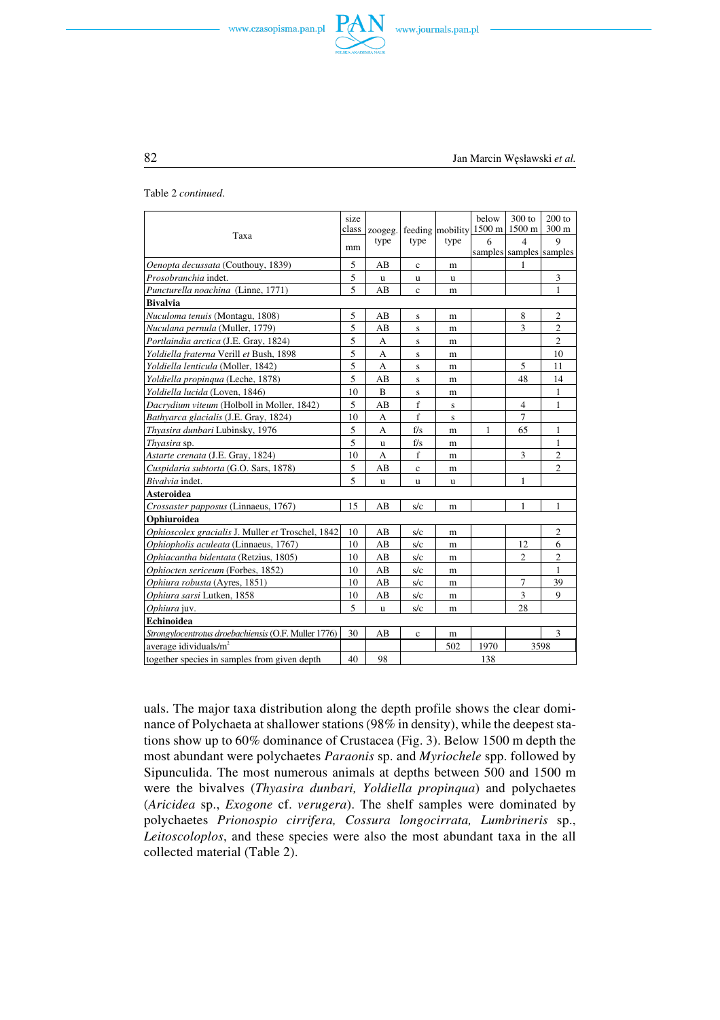

82 Jan Marcin Węsławski *et al.*

Table 2 *continued*.

| Taxa                                                 | size<br>class<br>mm | zoogeg.<br>type | type         | feeding mobility<br>type | below<br>1500 m<br>6 | 300 to<br>1500 m<br>4<br>samples samples samples | $200$ to<br>300 <sub>m</sub><br>9 |  |  |
|------------------------------------------------------|---------------------|-----------------|--------------|--------------------------|----------------------|--------------------------------------------------|-----------------------------------|--|--|
| Oenopta decussata (Couthouy, 1839)                   | 5                   | AВ              | $\mathbf{c}$ | m                        |                      | 1                                                |                                   |  |  |
| Prosobranchia indet.                                 | 5                   | $\mathbf u$     | u            | u                        |                      |                                                  | 3                                 |  |  |
| Puncturella noachina (Linne, 1771)                   | 5                   | AB              | $\mathbf c$  | m                        |                      |                                                  | 1                                 |  |  |
| <b>Bivalvia</b>                                      |                     |                 |              |                          |                      |                                                  |                                   |  |  |
| Nuculoma tenuis (Montagu, 1808)                      | 5                   | AB              | S            | m                        |                      | 8                                                | $\overline{2}$                    |  |  |
| Nuculana pernula (Muller, 1779)                      | 5                   | AB              | S            | m                        |                      | 3                                                | $\overline{c}$                    |  |  |
| Portlaindia arctica (J.E. Gray, 1824)                | 5                   | А               | $\bf S$      | m                        |                      |                                                  | $\overline{2}$                    |  |  |
| Yoldiella fraterna Verill et Bush, 1898              | 5                   | A               | $\bf S$      | m                        |                      |                                                  | 10                                |  |  |
| Yoldiella lenticula (Moller, 1842)                   | 5                   | A               | $\mathbf S$  | m                        |                      | 5                                                | 11                                |  |  |
| Yoldiella propinqua (Leche, 1878)                    | 5                   | AB              | $\bf S$      | m                        |                      | 48                                               | 14                                |  |  |
| Yoldiella lucida (Loven, 1846)                       | 10                  | B               | S            | m                        |                      |                                                  | $\mathbf{1}$                      |  |  |
| Dacrydium viteum (Holboll in Moller, 1842)           | 5                   | AB              | f            | S                        |                      | $\overline{4}$                                   | 1                                 |  |  |
| Bathyarca glacialis (J.E. Gray, 1824)                | 10                  | A               | f            | $\bf S$                  |                      | $\overline{7}$                                   |                                   |  |  |
| Thyasira dunbari Lubinsky, 1976                      | 5                   | А               | f/s          | m                        | 1                    | 65                                               | 1                                 |  |  |
| Thyasira sp.                                         | 5                   | <b>u</b>        | f/s          | m                        |                      |                                                  | 1                                 |  |  |
| Astarte crenata (J.E. Gray, 1824)                    | 10                  | A               | f            | m                        |                      | 3                                                | $\overline{c}$                    |  |  |
| Cuspidaria subtorta (G.O. Sars, 1878)                | 5                   | AB              | $\mathbf c$  | m                        |                      |                                                  | $\overline{c}$                    |  |  |
| Bivalvia indet.                                      | 5                   | <b>u</b>        | u            | u                        |                      | $\mathbf{1}$                                     |                                   |  |  |
| <b>Asteroidea</b>                                    |                     |                 |              |                          |                      |                                                  |                                   |  |  |
| Crossaster papposus (Linnaeus, 1767)                 | 15                  | AB              | s/c          | m                        |                      | $\mathbf{1}$                                     | 1                                 |  |  |
| Ophiuroidea                                          |                     |                 |              |                          |                      |                                                  |                                   |  |  |
| Ophioscolex gracialis J. Muller et Troschel, 1842    | 10                  | AB              | s/c          | m                        |                      |                                                  | $\overline{2}$                    |  |  |
| Ophiopholis aculeata (Linnaeus, 1767)                | 10                  | AB              | s/c          | $\, {\rm m}$             |                      | 12                                               | 6                                 |  |  |
| Ophiacantha bidentata (Retzius, 1805)                | 10                  | AB              | s/c          | m                        |                      | $\overline{2}$                                   | 2                                 |  |  |
| Ophiocten sericeum (Forbes, 1852)                    | 10                  | AB              | s/c          | m                        |                      |                                                  | 1                                 |  |  |
| Ophiura robusta (Ayres, 1851)                        | 10                  | AB              | s/c          | m                        |                      | 7                                                | 39                                |  |  |
| Ophiura sarsi Lutken, 1858                           | 10                  | AB              | s/c          | m                        |                      | 3                                                | 9                                 |  |  |
| Ophiura juv.                                         | 5                   | u               | s/c          | m                        |                      | 28                                               |                                   |  |  |
| Echinoidea                                           |                     |                 |              |                          |                      |                                                  |                                   |  |  |
| Strongylocentrotus droebachiensis (O.F. Muller 1776) | 30                  | AB              | $\mathbf c$  | m                        |                      |                                                  | 3                                 |  |  |
| average idividuals/ $m2$                             |                     |                 |              | 502                      | 1970                 |                                                  | 3598                              |  |  |
| together species in samples from given depth         | 40                  | 98              |              |                          | 138                  |                                                  |                                   |  |  |

uals. The major taxa distribution along the depth profile shows the clear domi− nance of Polychaeta at shallower stations (98% in density), while the deepest sta− tions show up to 60% dominance of Crustacea (Fig. 3). Below 1500 m depth the most abundant were polychaetes *Paraonis* sp. and *Myriochele* spp. followed by Sipunculida. The most numerous animals at depths between 500 and 1500 m were the bivalves (*Thyasira dunbari, Yoldiella propinqua*) and polychaetes (*Aricidea* sp., *Exogone* cf. *verugera*). The shelf samples were dominated by polychaetes *Prionospio cirrifera, Cossura longocirrata, Lumbrineris* sp., *Leitoscoloplos*, and these species were also the most abundant taxa in the all collected material (Table 2).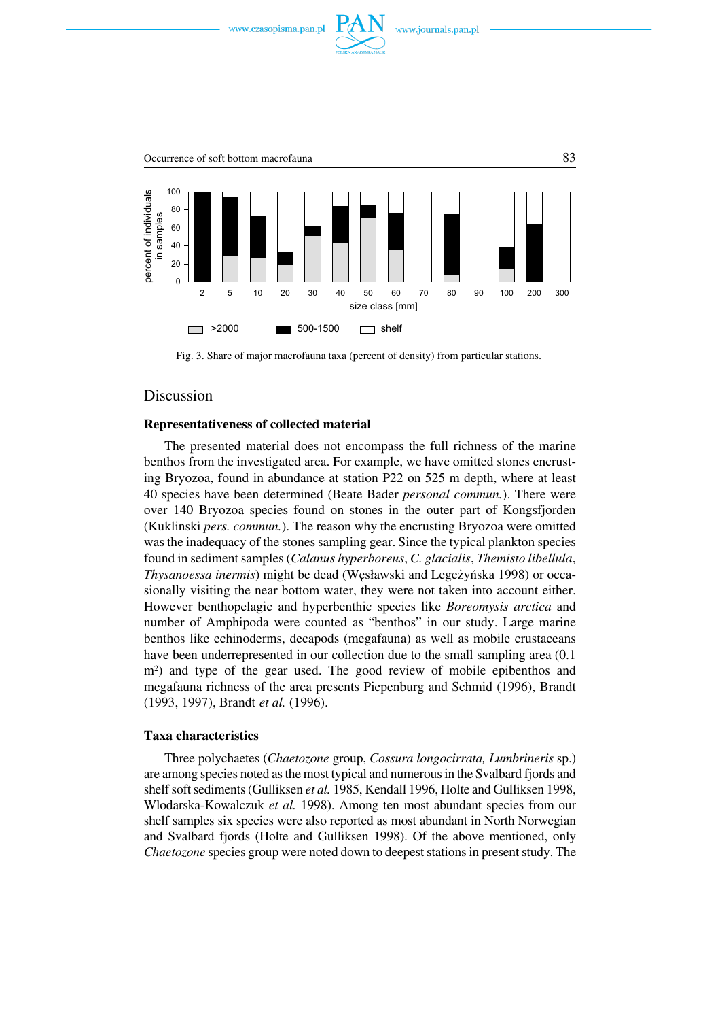



Fig. 3. Share of major macrofauna taxa (percent of density) from particular stations.

# Discussion

#### **Representativeness of collected material**

The presented material does not encompass the full richness of the marine benthos from the investigated area. For example, we have omitted stones encrust− ing Bryozoa, found in abundance at station P22 on 525 m depth, where at least 40 species have been determined (Beate Bader *personal commun.*). There were over 140 Bryozoa species found on stones in the outer part of Kongsfjorden (Kuklinski *pers. commun.*). The reason why the encrusting Bryozoa were omitted was the inadequacy of the stones sampling gear. Since the typical plankton species found in sediment samples (*Calanus hyperboreus*, *C. glacialis*, *Themisto libellula*, *Thysanoessa inermis*) might be dead (Węsławski and Legeżyńska 1998) or occa− sionally visiting the near bottom water, they were not taken into account either. However benthopelagic and hyperbenthic species like *Boreomysis arctica* and number of Amphipoda were counted as "benthos" in our study. Large marine benthos like echinoderms, decapods (megafauna) as well as mobile crustaceans have been underrepresented in our collection due to the small sampling area  $(0.1)$ m<sup>2</sup>) and type of the gear used. The good review of mobile epibenthos and megafauna richness of the area presents Piepenburg and Schmid (1996), Brandt (1993, 1997), Brandt *et al.* (1996).

#### **Taxa characteristics**

Three polychaetes (*Chaetozone* group, *Cossura longocirrata, Lumbrineris* sp.) are among species noted as the most typical and numerous in the Svalbard fjords and shelf soft sediments (Gulliksen *et al.* 1985, Kendall 1996, Holte and Gulliksen 1998, Wlodarska−Kowalczuk *et al.* 1998). Among ten most abundant species from our shelf samples six species were also reported as most abundant in North Norwegian and Svalbard fjords (Holte and Gulliksen 1998). Of the above mentioned, only *Chaetozone* species group were noted down to deepest stations in present study. The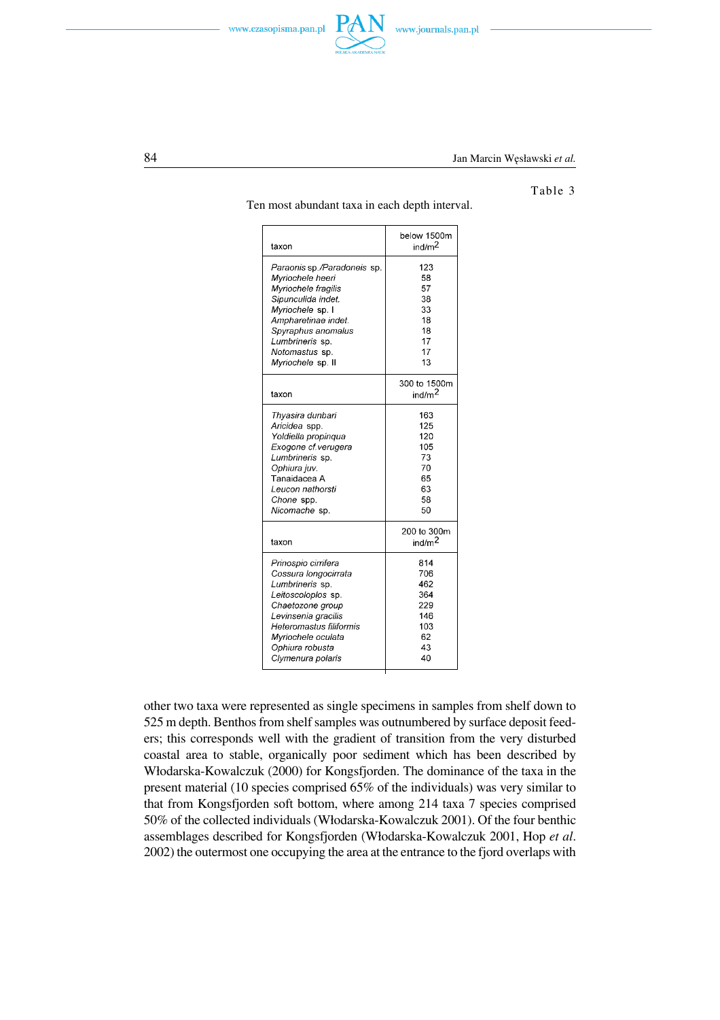



#### Table 3

| taxon                                                                                                                                                                                                                    | below 1500m<br>ind/m <sup>2</sup>                               |
|--------------------------------------------------------------------------------------------------------------------------------------------------------------------------------------------------------------------------|-----------------------------------------------------------------|
| Paraonis sp./Paradoneis sp.<br>Myriochele heeri<br>Myriochele fragilis<br>Sipunculida indet.<br>Myriochele sp. I<br>Ampharetinae indet.<br>Spyraphus anomalus<br>Lumbrineris sp.<br>Notomastus sp.<br>Myriochele sp. II  | 123<br>58<br>57<br>38<br>33<br>18<br>18<br>17<br>17<br>13       |
| taxon                                                                                                                                                                                                                    | 300 to 1500m<br>ind/m $^2$                                      |
| Thyasira dunbari<br>Aricidea spp.<br>Yoldiella propinqua<br>Exogone cf.verugera<br>Lumbrineris sp.<br>Ophiura juv.<br>Tanaidacea A<br>Leucon nathorsti<br>Chone spp.<br>Nicomache sp.                                    | 163<br>125<br>120<br>105<br>73<br>70<br>65<br>63<br>58<br>50    |
| taxon                                                                                                                                                                                                                    | 200 to 300m<br>ind/m $^2$                                       |
| Prinospio cirrifera<br>Cossura longocirrata<br>Lumbrineris sp.<br>Leitoscoloplos sp.<br>Chaetozone group<br>Levinsenia gracilis<br>Heteromastus filiformis<br>Myriochele oculata<br>Ophiura robusta<br>Clymenura polaris | 814<br>706<br>462<br>364<br>229<br>146<br>103<br>62<br>43<br>40 |

Ten most abundant taxa in each depth interval.

other two taxa were represented as single specimens in samples from shelf down to 525 m depth. Benthos from shelf samples was outnumbered by surface deposit feed− ers; this corresponds well with the gradient of transition from the very disturbed coastal area to stable, organically poor sediment which has been described by Włodarska−Kowalczuk (2000) for Kongsfjorden. The dominance of the taxa in the present material (10 species comprised 65% of the individuals) was very similar to that from Kongsfjorden soft bottom, where among 214 taxa 7 species comprised 50% of the collected individuals (Włodarska−Kowalczuk 2001). Of the four benthic assemblages described for Kongsfjorden (Włodarska−Kowalczuk 2001, Hop *et al*. 2002) the outermost one occupying the area at the entrance to the fjord overlaps with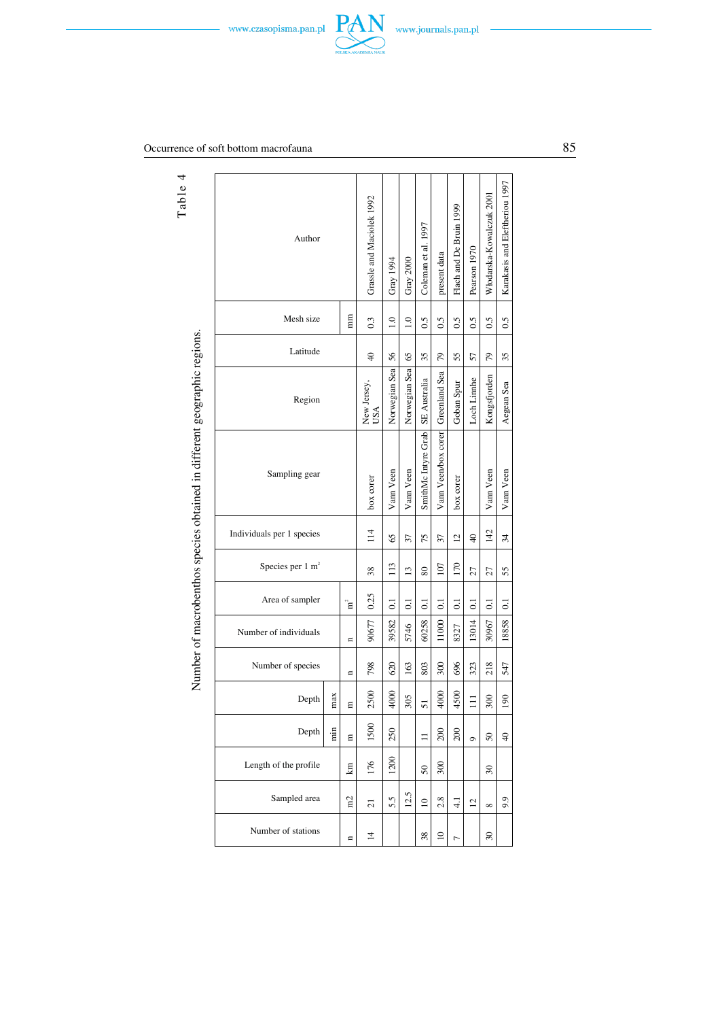

 $\frac{1}{2}$  and  $\frac{1}{2}$ 



# Occurrence of soft bottom macrofauna 85

| 4<br>Table -                                                             | Author                       | Grassle and Maciolek 1992 | Gray 1994                 | Gray 2000      | Coleman et al. 1997 | present data        | Flach and De Bruin 1999 | Pearson 1970   | Włodarska-Kowalczuk 2001 | Karakasis and Eleftheriou 1997 |                          |                |
|--------------------------------------------------------------------------|------------------------------|---------------------------|---------------------------|----------------|---------------------|---------------------|-------------------------|----------------|--------------------------|--------------------------------|--------------------------|----------------|
|                                                                          | Mesh size                    |                           | mm                        | 0.3            | 1.0                 | 1.0                 | 0.5                     | 0.5            | 0.5                      | 0.5                            | 0.5                      | 0.5            |
|                                                                          | Latitude                     |                           |                           | $\Theta$       | 56                  | 65                  | 35                      | 56             | 55                       | 57                             | 79                       | 35             |
|                                                                          | Region                       |                           | New Jersey,<br>USA        | Norwegian Sea  | Norwegian Sea       | SE Australia        | Greenland Sea           | Goban Spur     | Loch Linnhe              | Kongsfjorden                   | Aegean Sea               |                |
| Number of macrobenthos species obtained in different geographic regions. | Sampling gear                |                           | box corer                 | Vann Veen      | Vann Veen           | SmithMc Intyre Grab | Vann Veen/box corer     | box corer      |                          | Vann Veen                      | Vann Veen                |                |
|                                                                          | Individuals per 1 species    |                           | $\overline{14}$           | 65             | 57                  | 75                  | 57                      | $\overline{c}$ | $\overline{4}$           | 142                            | 34                       |                |
|                                                                          | Species per 1 m <sup>2</sup> |                           | 38                        | 113            | $\overline{13}$     | $80\,$              | 107                     | 170            | 27                       | 27                             | 55                       |                |
|                                                                          | Area of sampler              |                           | $\overline{\mathbf{H}}^2$ | 0.25           | $\overline{0}$      | $\overline{0}$      | $\overline{\circ}$      | $\overline{c}$ | $\overline{0}$ .         | $\overline{0}$                 | $\overline{c}$           | $\overline{c}$ |
|                                                                          | Number of individuals        |                           | n                         | 90677          | 39582               | 5746                | 60258                   | 11000          | 8327                     | 13014                          | 30967                    | 18858          |
|                                                                          | Number of species            |                           | $\mathbf{u}$              | 798            | 620                 | 163                 | 803                     | 300            | 696                      | 323                            | 218                      | 547            |
|                                                                          | Depth                        | max                       | $\Xi$                     | 2500           | 4000                | 305                 | 51                      | 4000           | 4500                     | $\Xi$                          | 300                      | 190            |
|                                                                          | Depth                        | min                       | Ξ                         | 1500           | 250                 |                     | Ξ                       | 200            | 200                      | $\circ$                        | $50\,$                   | $\overline{6}$ |
|                                                                          | Length of the profile        |                           | km                        | 176            | 1200                |                     | 50                      | 300            |                          |                                | $\overline{\mathrm{30}}$ |                |
|                                                                          | Sampled area                 |                           | m2                        | $\overline{a}$ | 5.5                 | 12.5                | $\supseteq$             | 2.8            | $\frac{1}{4}$            | $\overline{c}$                 | $^{\circ}$               | 9.9            |
|                                                                          | Number of stations           |                           | n                         | $\overline{4}$ |                     |                     | 38                      | $\approx$      | $\overline{ }$           |                                | $\overline{\mathrm{30}}$ |                |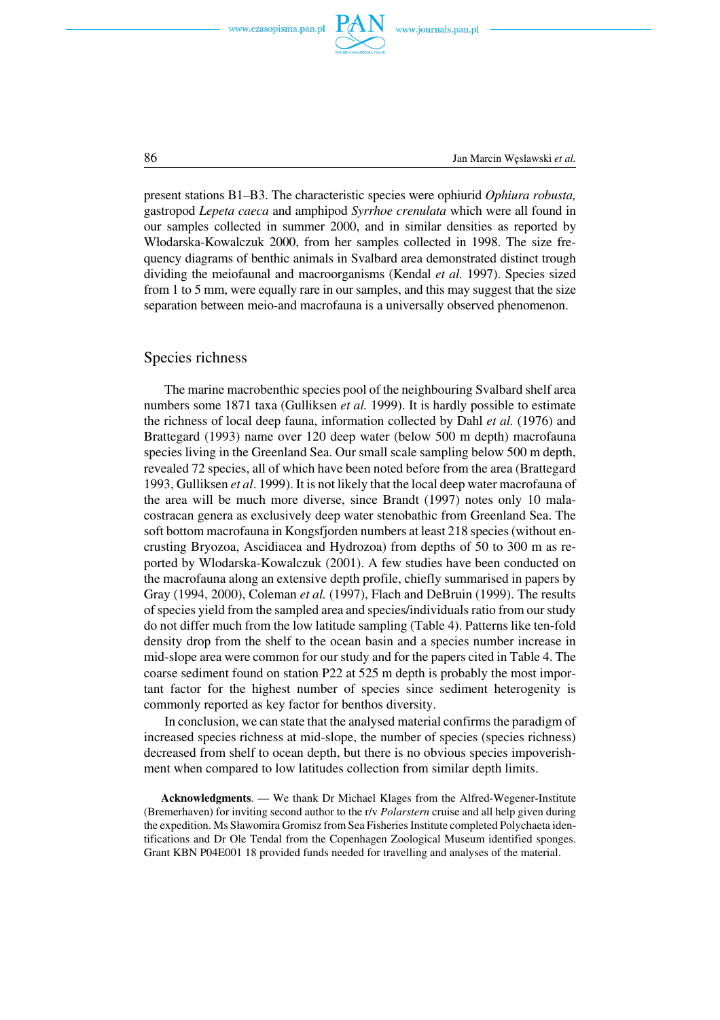

86 Jan Marcin Węsławski *et al.*

present stations B1–B3. The characteristic species were ophiurid *Ophiura robusta,* gastropod *Lepeta caeca* and amphipod *Syrrhoe crenulata* which were all found in our samples collected in summer 2000, and in similar densities as reported by Włodarska−Kowalczuk 2000, from her samples collected in 1998. The size fre− quency diagrams of benthic animals in Svalbard area demonstrated distinct trough dividing the meiofaunal and macroorganisms (Kendal *et al.* 1997). Species sized from 1 to 5 mm, were equally rare in our samples, and this may suggest that the size separation between meio−and macrofauna is a universally observed phenomenon.

# Species richness

The marine macrobenthic species pool of the neighbouring Svalbard shelf area numbers some 1871 taxa (Gulliksen *et al.* 1999). It is hardly possible to estimate the richness of local deep fauna, information collected by Dahl *et al.* (1976) and Brattegard (1993) name over 120 deep water (below 500 m depth) macrofauna species living in the Greenland Sea. Our small scale sampling below 500 m depth, revealed 72 species, all of which have been noted before from the area (Brattegard 1993, Gulliksen *et al*. 1999). It is not likely that the local deep water macrofauna of the area will be much more diverse, since Brandt (1997) notes only 10 mala− costracan genera as exclusively deep water stenobathic from Greenland Sea. The soft bottom macrofauna in Kongsfjorden numbers at least 218 species (without en− crusting Bryozoa, Ascidiacea and Hydrozoa) from depths of 50 to 300 m as re− ported by Wlodarska−Kowalczuk (2001). A few studies have been conducted on the macrofauna along an extensive depth profile, chiefly summarised in papers by Gray (1994, 2000), Coleman *et al.* (1997), Flach and DeBruin (1999). The results of species yield from the sampled area and species/individuals ratio from our study do not differ much from the low latitude sampling (Table 4). Patterns like ten−fold density drop from the shelf to the ocean basin and a species number increase in mid−slope area were common for our study and for the papers cited in Table 4. The coarse sediment found on station P22 at 525 m depth is probably the most impor− tant factor for the highest number of species since sediment heterogenity is commonly reported as key factor for benthos diversity.

In conclusion, we can state that the analysed material confirms the paradigm of increased species richness at mid−slope, the number of species (species richness) decreased from shelf to ocean depth, but there is no obvious species impoverish− ment when compared to low latitudes collection from similar depth limits.

**Acknowledgments**. — We thank Dr Michael Klages from the Alfred−Wegener−Institute (Bremerhaven) for inviting second author to the r/v *Polarstern* cruise and all help given during the expedition. Ms Sławomira Gromisz from Sea Fisheries Institute completed Polychaeta iden− tifications and Dr Ole Tendal from the Copenhagen Zoological Museum identified sponges. Grant KBN P04E001 18 provided funds needed for travelling and analyses of the material.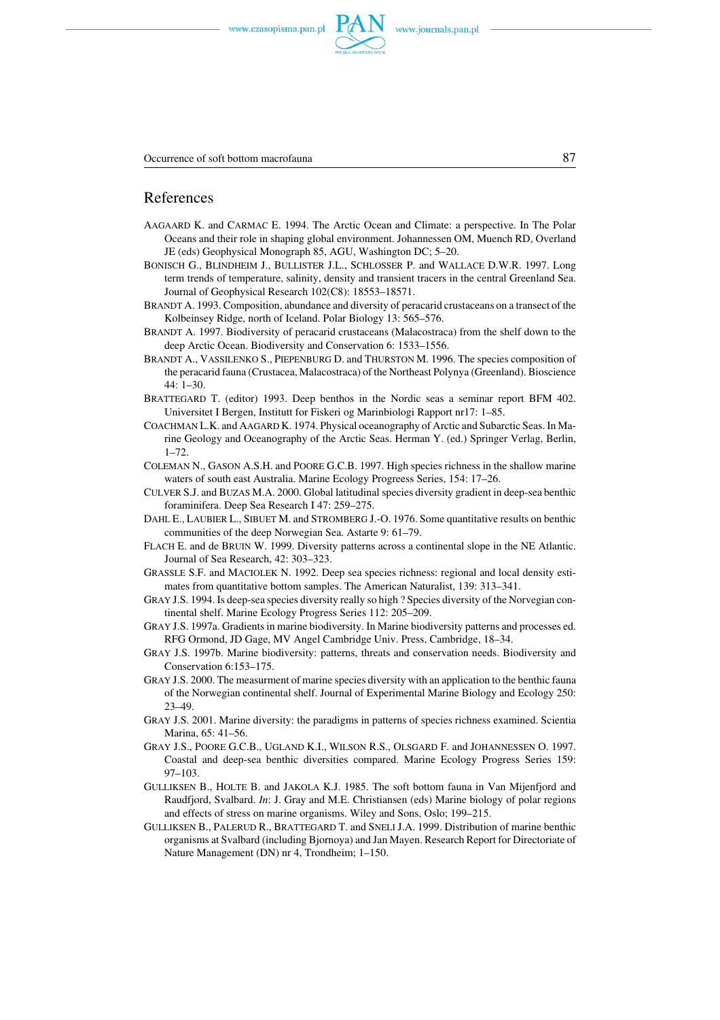### References

- AAGAARD K. and CARMAC E. 1994. The Arctic Ocean and Climate: a perspective. In The Polar Oceans and their role in shaping global environment. Johannessen OM, Muench RD, Overland JE (eds) Geophysical Monograph 85, AGU, Washington DC; 5–20.
- BONISCH G., BLINDHEIM J., BULLISTER J.L., SCHLOSSER P. and WALLACE D.W.R. 1997. Long term trends of temperature, salinity, density and transient tracers in the central Greenland Sea. Journal of Geophysical Research 102(C8): 18553–18571.
- BRANDT A. 1993. Composition, abundance and diversity of peracarid crustaceans on a transect of the Kolbeinsey Ridge, north of Iceland. Polar Biology 13: 565–576.
- BRANDT A. 1997. Biodiversity of peracarid crustaceans (Malacostraca) from the shelf down to the deep Arctic Ocean. Biodiversity and Conservation 6: 1533–1556.
- BRANDT A., VASSILENKO S., PIEPENBURG D. and THURSTON M. 1996. The species composition of the peracarid fauna (Crustacea, Malacostraca) of the Northeast Polynya (Greenland). Bioscience 44: 1–30.
- BRATTEGARD T. (editor) 1993. Deep benthos in the Nordic seas a seminar report BFM 402. Universitet I Bergen, Institutt for Fiskeri og Marinbiologi Rapport nr17: 1–85.
- COACHMAN L.K. and AAGARD K. 1974. Physical oceanography of Arctic and Subarctic Seas. In Ma− rine Geology and Oceanography of the Arctic Seas. Herman Y. (ed.) Springer Verlag, Berlin, 1–72.
- COLEMAN N., GASON A.S.H. and POORE G.C.B. 1997. High species richness in the shallow marine waters of south east Australia. Marine Ecology Progreess Series, 154: 17–26.
- CULVER S.J. and BUZAS M.A. 2000. Global latitudinal species diversity gradient in deep−sea benthic foraminifera. Deep Sea Research I 47: 259–275.
- DAHL E., LAUBIER L., SIBUET M. and STROMBERG J.−O. 1976. Some quantitative results on benthic communities of the deep Norwegian Sea. Astarte 9: 61–79.
- FLACH E. and de BRUIN W. 1999. Diversity patterns across a continental slope in the NE Atlantic. Journal of Sea Research, 42: 303–323.
- GRASSLE S.F. and MACIOLEK N. 1992. Deep sea species richness: regional and local density esti− mates from quantitative bottom samples. The American Naturalist, 139: 313–341.
- GRAY J.S. 1994. Is deep-sea species diversity really so high ? Species diversity of the Norvegian continental shelf. Marine Ecology Progress Series 112: 205–209.
- GRAY J.S. 1997a. Gradients in marine biodiversity. In Marine biodiversity patterns and processes ed. RFG Ormond, JD Gage, MV Angel Cambridge Univ. Press, Cambridge, 18–34.
- GRAY J.S. 1997b. Marine biodiversity: patterns, threats and conservation needs. Biodiversity and Conservation 6:153–175.
- GRAY J.S. 2000. The measurment of marine species diversity with an application to the benthic fauna of the Norwegian continental shelf. Journal of Experimental Marine Biology and Ecology 250: 23–49.
- GRAY J.S. 2001. Marine diversity: the paradigms in patterns of species richness examined. Scientia Marina, 65: 41–56.
- GRAY J.S., POORE G.C.B., UGLAND K.I., WILSON R.S., OLSGARD F. and JOHANNESSEN O. 1997. Coastal and deep−sea benthic diversities compared. Marine Ecology Progress Series 159: 97–103.
- GULLIKSEN B., HOLTE B. and JAKOLA K.J. 1985. The soft bottom fauna in Van Mijenfjord and Raudfjord, Svalbard. *In*: J. Gray and M.E. Christiansen (eds) Marine biology of polar regions and effects of stress on marine organisms. Wiley and Sons, Oslo; 199–215.
- GULLIKSEN B., PALERUD R., BRATTEGARD T. and SNELI J.A. 1999. Distribution of marine benthic organisms at Svalbard (including Bjornoya) and Jan Mayen. Research Report for Directoriate of Nature Management (DN) nr 4, Trondheim; 1–150.